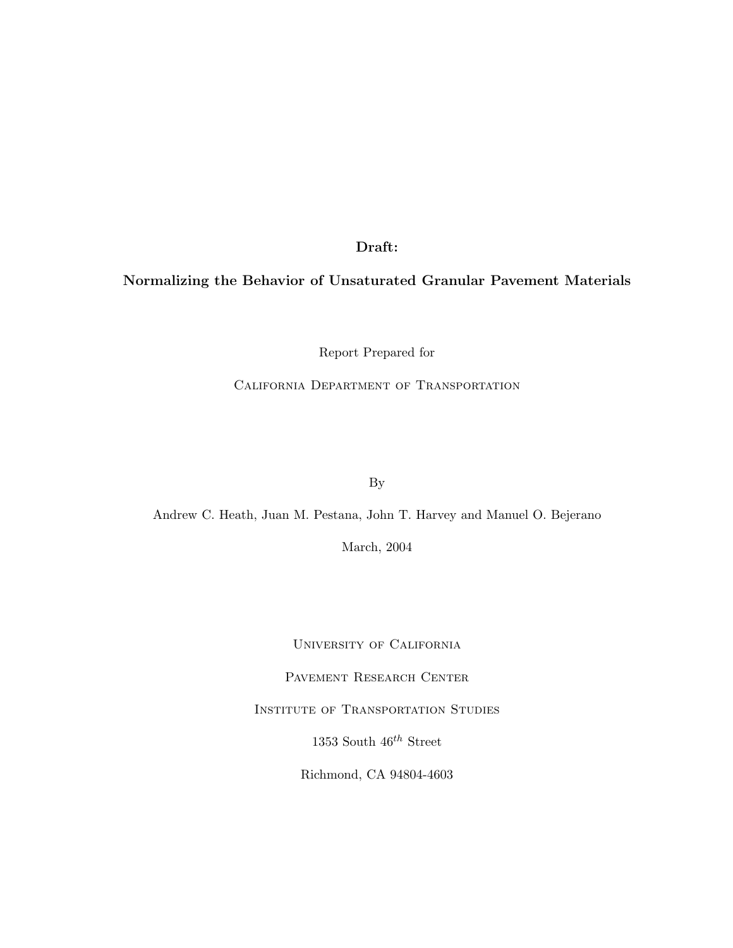Draft:

# Normalizing the Behavior of Unsaturated Granular Pavement Materials

Report Prepared for

California Department of Transportation

By

Andrew C. Heath, Juan M. Pestana, John T. Harvey and Manuel O. Bejerano

March, 2004

University of California

PAVEMENT RESEARCH CENTER

Institute of Transportation Studies

1353 South  $46^{th}$  Street

Richmond, CA 94804-4603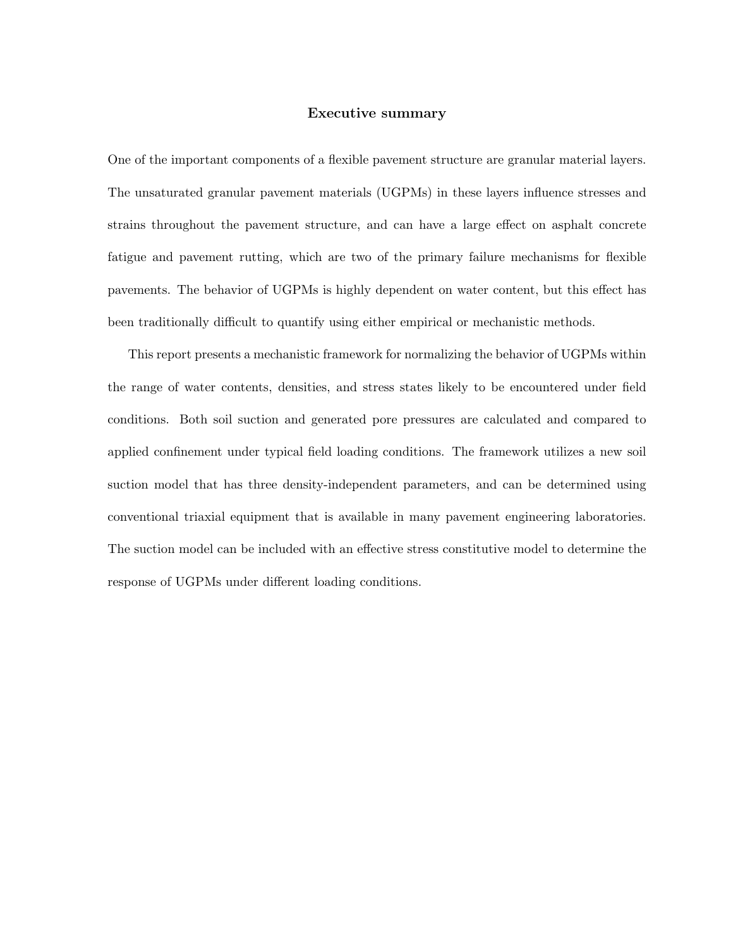## Executive summary

One of the important components of a flexible pavement structure are granular material layers. The unsaturated granular pavement materials (UGPMs) in these layers influence stresses and strains throughout the pavement structure, and can have a large effect on asphalt concrete fatigue and pavement rutting, which are two of the primary failure mechanisms for flexible pavements. The behavior of UGPMs is highly dependent on water content, but this effect has been traditionally difficult to quantify using either empirical or mechanistic methods.

This report presents a mechanistic framework for normalizing the behavior of UGPMs within the range of water contents, densities, and stress states likely to be encountered under field conditions. Both soil suction and generated pore pressures are calculated and compared to applied confinement under typical field loading conditions. The framework utilizes a new soil suction model that has three density-independent parameters, and can be determined using conventional triaxial equipment that is available in many pavement engineering laboratories. The suction model can be included with an effective stress constitutive model to determine the response of UGPMs under different loading conditions.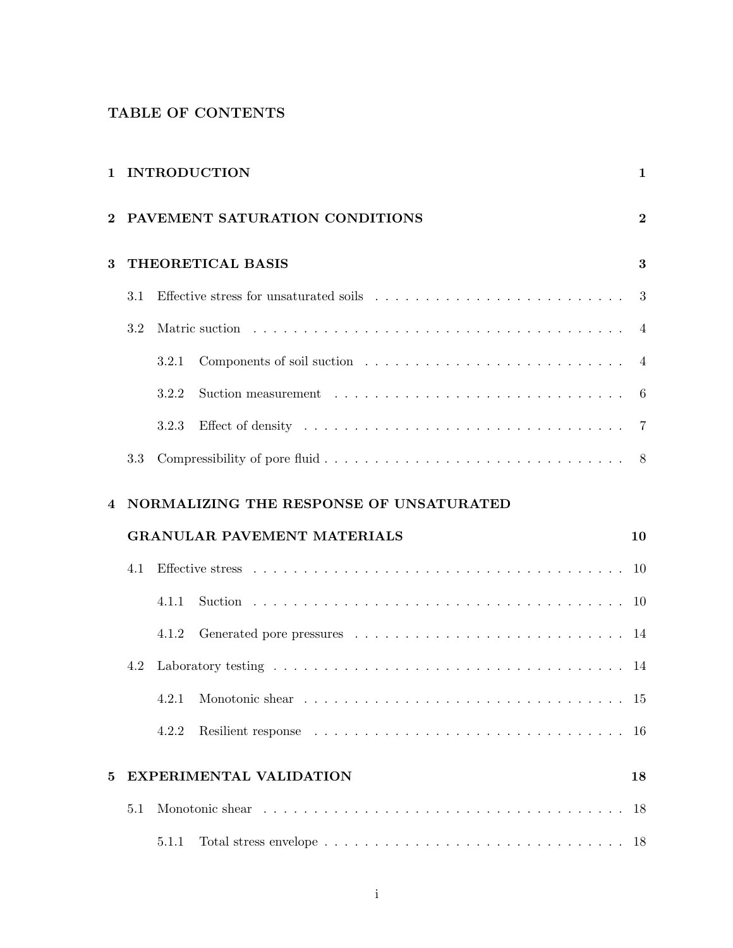# TABLE OF CONTENTS

| 1        |                                         | <b>INTRODUCTION</b>            |                                                                                                                                                                                                                                |                |  |  |
|----------|-----------------------------------------|--------------------------------|--------------------------------------------------------------------------------------------------------------------------------------------------------------------------------------------------------------------------------|----------------|--|--|
| $\bf{2}$ |                                         | PAVEMENT SATURATION CONDITIONS |                                                                                                                                                                                                                                |                |  |  |
| 3        | THEORETICAL BASIS                       |                                |                                                                                                                                                                                                                                |                |  |  |
|          | 3.1                                     |                                |                                                                                                                                                                                                                                | 3              |  |  |
|          | 3.2                                     |                                |                                                                                                                                                                                                                                | $\overline{4}$ |  |  |
|          |                                         | 3.2.1                          |                                                                                                                                                                                                                                | $\overline{4}$ |  |  |
|          |                                         | 3.2.2                          |                                                                                                                                                                                                                                | 6              |  |  |
|          |                                         | 3.2.3                          | Effect of density respective to the contract of the state of density respective to the contract of the state of the state of the state of the state of the state of the state of the state of the state of the state of the st | 7              |  |  |
|          | 3.3                                     |                                |                                                                                                                                                                                                                                |                |  |  |
|          | NORMALIZING THE RESPONSE OF UNSATURATED |                                |                                                                                                                                                                                                                                |                |  |  |
| 4        |                                         |                                |                                                                                                                                                                                                                                |                |  |  |
|          |                                         |                                | <b>GRANULAR PAVEMENT MATERIALS</b>                                                                                                                                                                                             | 10             |  |  |
|          | 4.1                                     |                                |                                                                                                                                                                                                                                | 10             |  |  |
|          |                                         | 4.1.1                          |                                                                                                                                                                                                                                | 10             |  |  |
|          |                                         | 4.1.2                          |                                                                                                                                                                                                                                | 14             |  |  |
|          | 4.2                                     |                                |                                                                                                                                                                                                                                | 14             |  |  |
|          |                                         |                                | 4.2.1 Monotonic shear                                                                                                                                                                                                          | 15             |  |  |
|          |                                         | 4.2.2                          |                                                                                                                                                                                                                                | -16            |  |  |
| 5        |                                         |                                | <b>EXPERIMENTAL VALIDATION</b>                                                                                                                                                                                                 | 18             |  |  |
|          | 5.1                                     |                                |                                                                                                                                                                                                                                | 18             |  |  |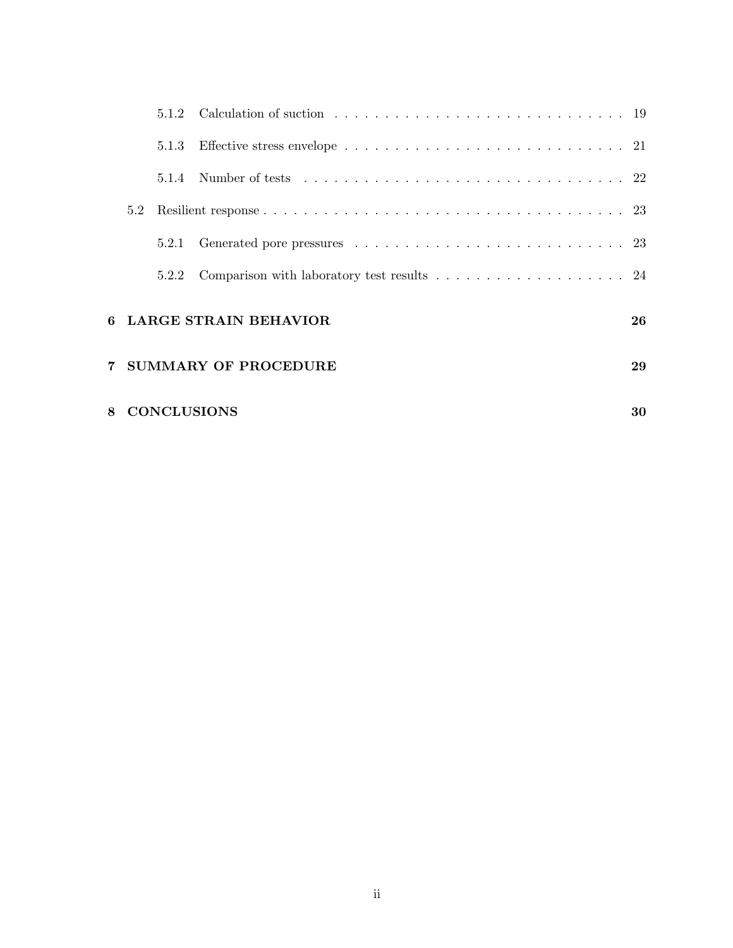|   |                              | 5.1.2 |                                                                                                      |    |  |  |  |
|---|------------------------------|-------|------------------------------------------------------------------------------------------------------|----|--|--|--|
|   |                              | 5.1.3 | Effective stress envelope $\ldots \ldots \ldots \ldots \ldots \ldots \ldots \ldots \ldots \ldots 21$ |    |  |  |  |
|   |                              | 5.1.4 |                                                                                                      |    |  |  |  |
|   | 5.2                          |       |                                                                                                      |    |  |  |  |
|   |                              | 5.2.1 |                                                                                                      |    |  |  |  |
|   |                              | 5.2.2 | Comparison with laboratory test results $\ldots \ldots \ldots \ldots \ldots 24$                      |    |  |  |  |
|   | <b>LARGE STRAIN BEHAVIOR</b> |       |                                                                                                      |    |  |  |  |
|   | <b>SUMMARY OF PROCEDURE</b>  |       |                                                                                                      |    |  |  |  |
| 8 |                              |       | <b>CONCLUSIONS</b>                                                                                   | 30 |  |  |  |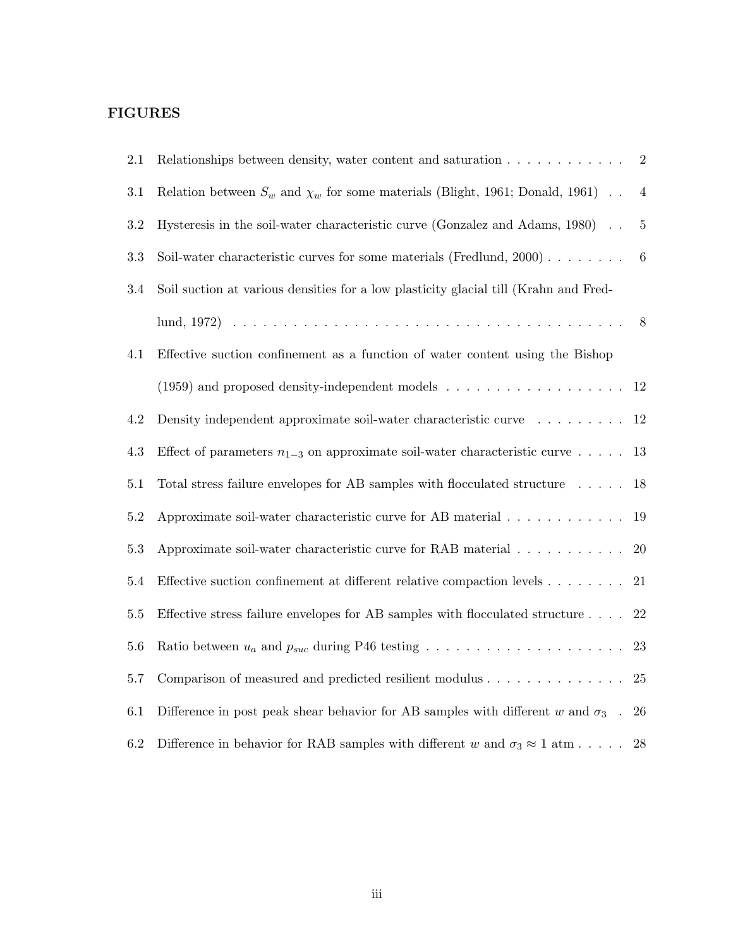# FIGURES

| 2.1     | Relationships between density, water content and saturation $\ldots \ldots \ldots \ldots$                        | $\overline{2}$   |
|---------|------------------------------------------------------------------------------------------------------------------|------------------|
| $3.1\,$ | Relation between $S_w$ and $\chi_w$ for some materials (Blight, 1961; Donald, 1961)                              | $\overline{4}$   |
| 3.2     | Hysteresis in the soil-water characteristic curve (Gonzalez and Adams, 1980).                                    | 5                |
| $3.3\,$ | Soil-water characteristic curves for some materials (Fredlund, 2000)                                             | $\boldsymbol{6}$ |
| $3.4\,$ | Soil suction at various densities for a low plasticity glacial till (Krahn and Fred-                             |                  |
|         |                                                                                                                  | 8                |
| 4.1     | Effective suction confinement as a function of water content using the Bishop                                    |                  |
|         | (1959) and proposed density-independent models $\dots \dots \dots \dots \dots \dots$                             | 12               |
| 4.2     | Density independent approximate soil-water characteristic curve<br>$\hfill\ldots\ldots\ldots\ldots$              | 12               |
| 4.3     | Effect of parameters $n_{1-3}$ on approximate soil-water characteristic curve                                    | 13               |
| 5.1     | Total stress failure envelopes for AB samples with flocculated structure $\phantom{1} \ldots \phantom{1} \ldots$ | 18               |
| 5.2     | Approximate soil-water characteristic curve for AB material                                                      | 19               |
| $5.3\,$ | Approximate soil-water characteristic curve for RAB material                                                     | 20               |
| 5.4     | Effective suction confinement at different relative compaction levels                                            | $21\,$           |
| $5.5\,$ | Effective stress failure envelopes for AB samples with flocculated structure $\ldots$ .                          | 22               |
| 5.6     |                                                                                                                  | 23               |
| 5.7     | Comparison of measured and predicted resilient modulus $\ldots \ldots \ldots \ldots$                             | 25               |
| 6.1     | Difference in post peak shear behavior for AB samples with different w and $\sigma_3$ .                          | 26               |
| 6.2     | Difference in behavior for RAB samples with different w and $\sigma_3 \approx 1$ atm                             | 28               |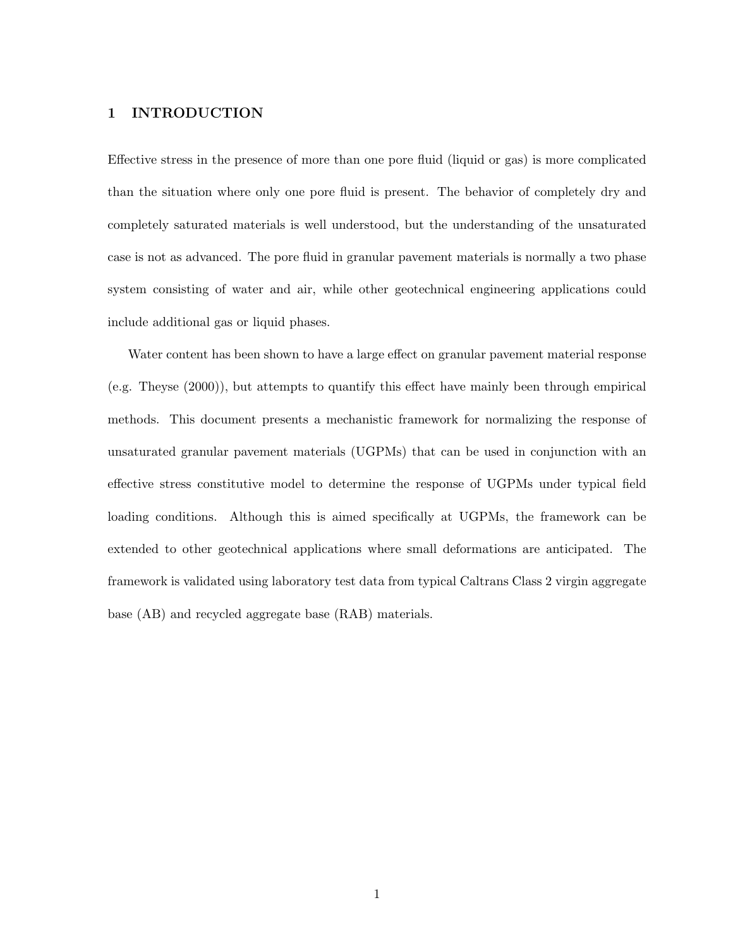# 1 INTRODUCTION

Effective stress in the presence of more than one pore fluid (liquid or gas) is more complicated than the situation where only one pore fluid is present. The behavior of completely dry and completely saturated materials is well understood, but the understanding of the unsaturated case is not as advanced. The pore fluid in granular pavement materials is normally a two phase system consisting of water and air, while other geotechnical engineering applications could include additional gas or liquid phases.

Water content has been shown to have a large effect on granular pavement material response (e.g. Theyse (2000)), but attempts to quantify this effect have mainly been through empirical methods. This document presents a mechanistic framework for normalizing the response of unsaturated granular pavement materials (UGPMs) that can be used in conjunction with an effective stress constitutive model to determine the response of UGPMs under typical field loading conditions. Although this is aimed specifically at UGPMs, the framework can be extended to other geotechnical applications where small deformations are anticipated. The framework is validated using laboratory test data from typical Caltrans Class 2 virgin aggregate base (AB) and recycled aggregate base (RAB) materials.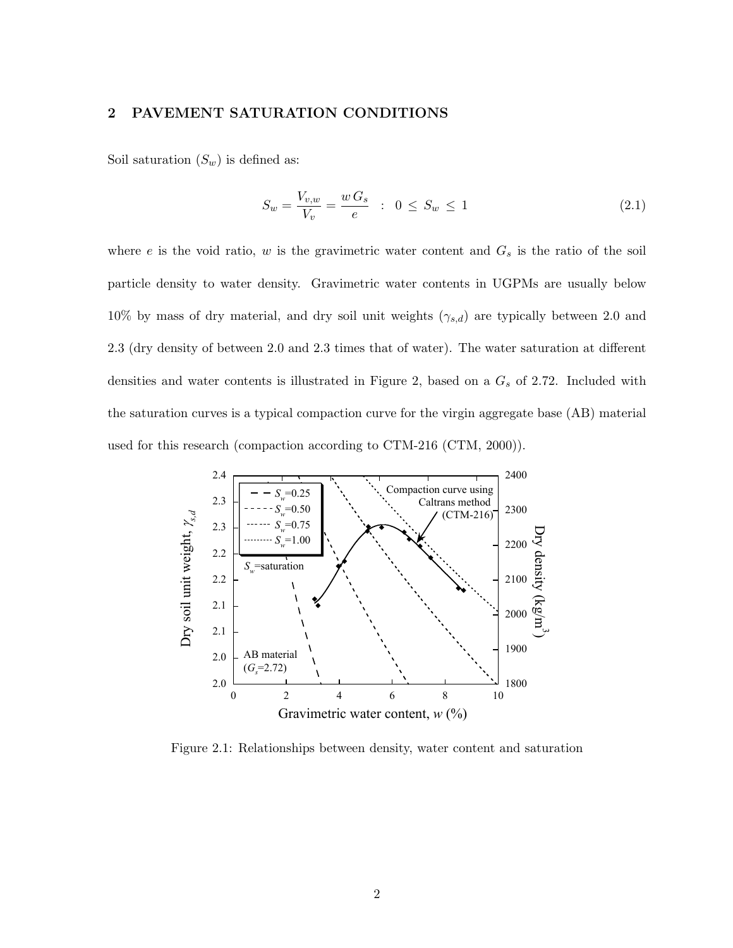# 2 PAVEMENT SATURATION CONDITIONS

Soil saturation  $(S_w)$  is defined as:

$$
S_w = \frac{V_{v,w}}{V_v} = \frac{w \, G_s}{e} \quad : \quad 0 \le S_w \le 1 \tag{2.1}
$$

where  $e$  is the void ratio,  $w$  is the gravimetric water content and  $G_s$  is the ratio of the soil particle density to water density. Gravimetric water contents in UGPMs are usually below 10% by mass of dry material, and dry soil unit weights  $(\gamma_{s,d})$  are typically between 2.0 and 2.3 (dry density of between 2.0 and 2.3 times that of water). The water saturation at different densities and water contents is illustrated in Figure 2, based on a  $G_s$  of 2.72. Included with the saturation curves is a typical compaction curve for the virgin aggregate base (AB) material used for this research (compaction according to CTM-216 (CTM, 2000)).



Figure 2.1: Relationships between density, water content and saturation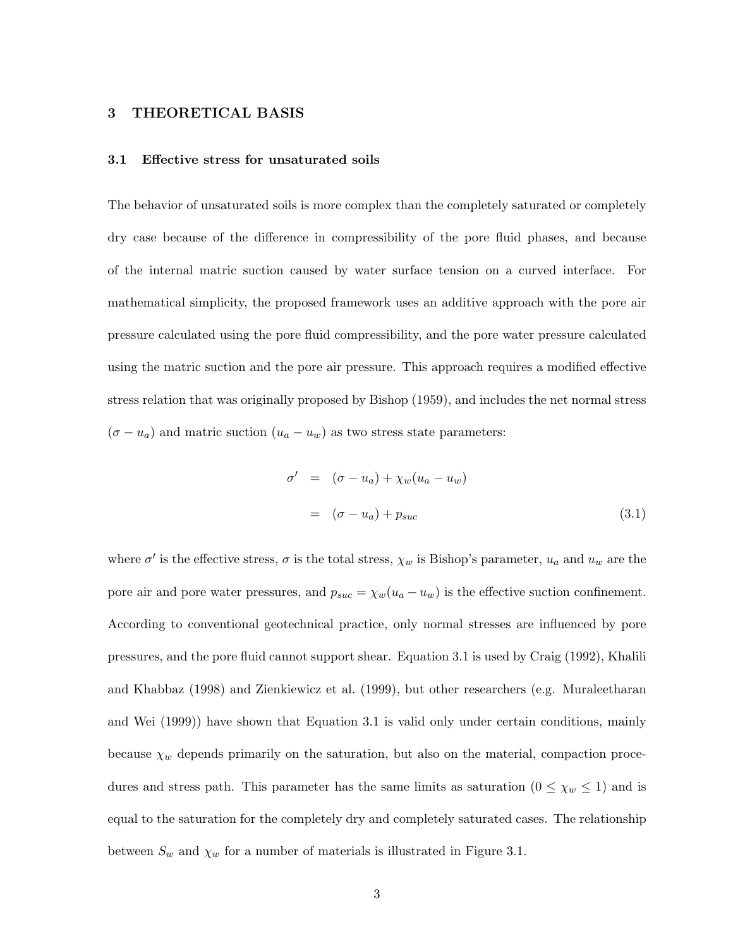# 3 THEORETICAL BASIS

#### 3.1 Effective stress for unsaturated soils

The behavior of unsaturated soils is more complex than the completely saturated or completely dry case because of the difference in compressibility of the pore fluid phases, and because of the internal matric suction caused by water surface tension on a curved interface. For mathematical simplicity, the proposed framework uses an additive approach with the pore air pressure calculated using the pore fluid compressibility, and the pore water pressure calculated using the matric suction and the pore air pressure. This approach requires a modified effective stress relation that was originally proposed by Bishop (1959), and includes the net normal stress  $(\sigma - u_a)$  and matric suction  $(u_a - u_w)$  as two stress state parameters:

$$
\sigma' = (\sigma - u_a) + \chi_w (u_a - u_w)
$$
  
=  $(\sigma - u_a) + p_{suc}$  (3.1)

where  $\sigma'$  is the effective stress,  $\sigma$  is the total stress,  $\chi_w$  is Bishop's parameter,  $u_a$  and  $u_w$  are the pore air and pore water pressures, and  $p_{suc} = \chi_w(u_a - u_w)$  is the effective suction confinement. According to conventional geotechnical practice, only normal stresses are influenced by pore pressures, and the pore fluid cannot support shear. Equation 3.1 is used by Craig (1992), Khalili and Khabbaz (1998) and Zienkiewicz et al. (1999), but other researchers (e.g. Muraleetharan and Wei (1999)) have shown that Equation 3.1 is valid only under certain conditions, mainly because  $\chi_w$  depends primarily on the saturation, but also on the material, compaction procedures and stress path. This parameter has the same limits as saturation  $(0 \leq \chi_w \leq 1)$  and is equal to the saturation for the completely dry and completely saturated cases. The relationship between  $S_w$  and  $\chi_w$  for a number of materials is illustrated in Figure 3.1.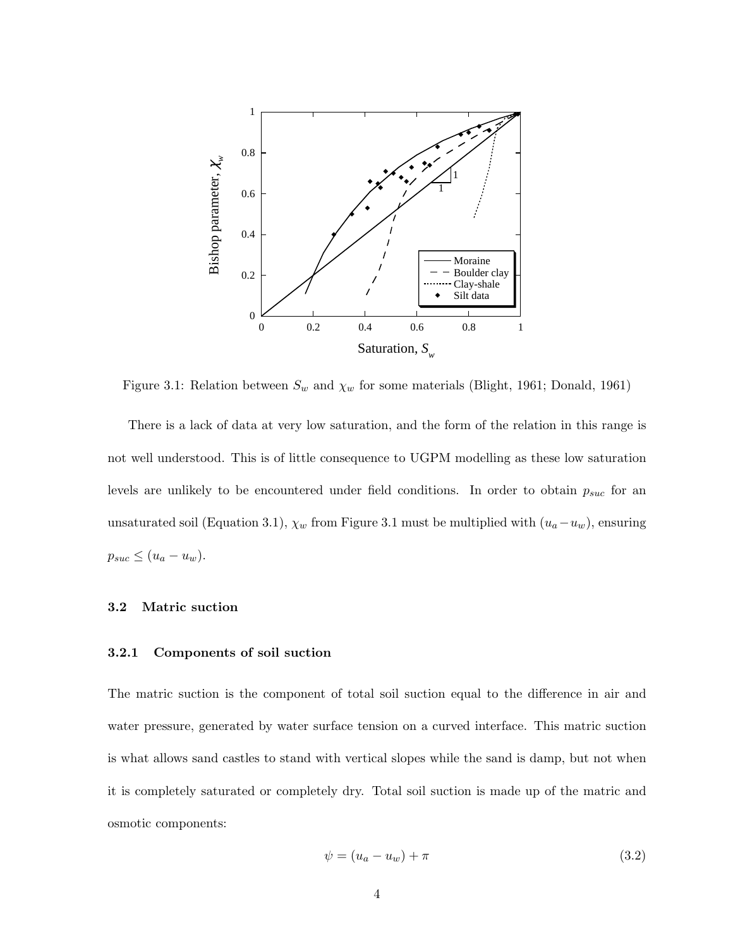

Figure 3.1: Relation between  $S_w$  and  $\chi_w$  for some materials (Blight, 1961; Donald, 1961)

There is a lack of data at very low saturation, and the form of the relation in this range is not well understood. This is of little consequence to UGPM modelling as these low saturation levels are unlikely to be encountered under field conditions. In order to obtain  $p_{suc}$  for an unsaturated soil (Equation 3.1),  $\chi_w$  from Figure 3.1 must be multiplied with  $(u_a-u_w)$ , ensuring  $p_{suc} \leq (u_a - u_w).$ 

## 3.2 Matric suction

# 3.2.1 Components of soil suction

The matric suction is the component of total soil suction equal to the difference in air and water pressure, generated by water surface tension on a curved interface. This matric suction is what allows sand castles to stand with vertical slopes while the sand is damp, but not when it is completely saturated or completely dry. Total soil suction is made up of the matric and osmotic components:

$$
\psi = (u_a - u_w) + \pi \tag{3.2}
$$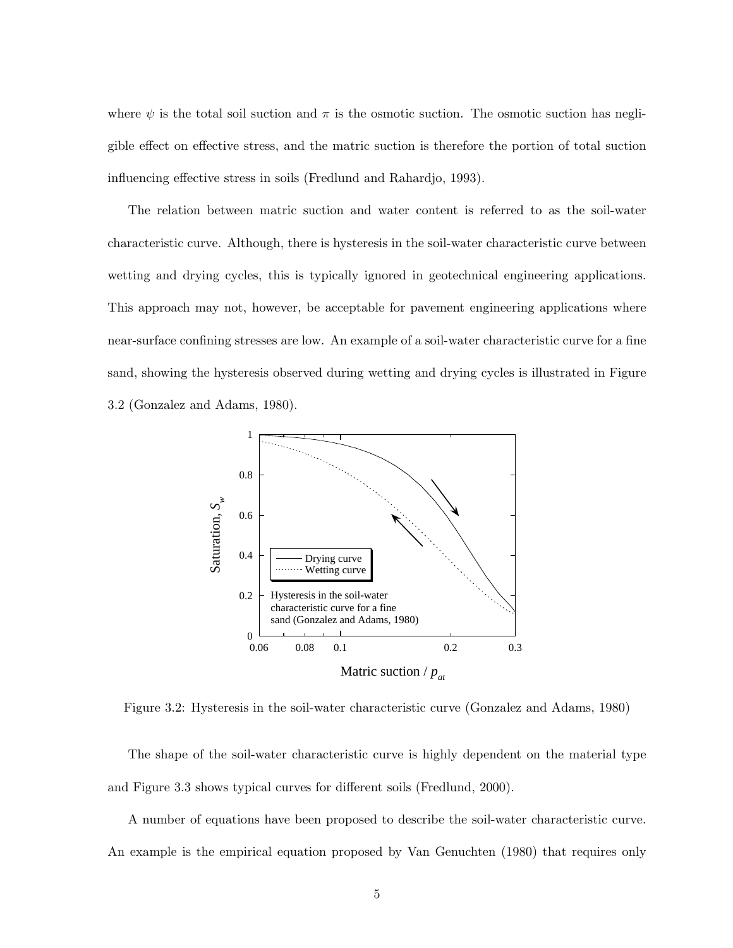where  $\psi$  is the total soil suction and  $\pi$  is the osmotic suction. The osmotic suction has negligible effect on effective stress, and the matric suction is therefore the portion of total suction influencing effective stress in soils (Fredlund and Rahardjo, 1993).

The relation between matric suction and water content is referred to as the soil-water characteristic curve. Although, there is hysteresis in the soil-water characteristic curve between wetting and drying cycles, this is typically ignored in geotechnical engineering applications. This approach may not, however, be acceptable for pavement engineering applications where near-surface confining stresses are low. An example of a soil-water characteristic curve for a fine sand, showing the hysteresis observed during wetting and drying cycles is illustrated in Figure 3.2 (Gonzalez and Adams, 1980).



Figure 3.2: Hysteresis in the soil-water characteristic curve (Gonzalez and Adams, 1980)

The shape of the soil-water characteristic curve is highly dependent on the material type and Figure 3.3 shows typical curves for different soils (Fredlund, 2000).

A number of equations have been proposed to describe the soil-water characteristic curve. An example is the empirical equation proposed by Van Genuchten (1980) that requires only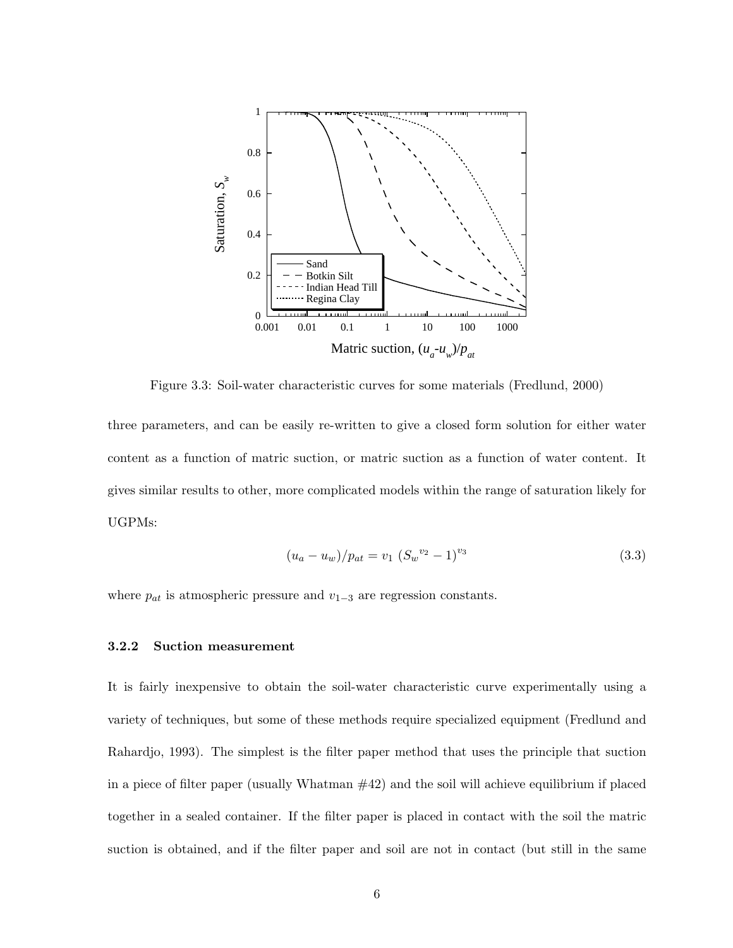

Figure 3.3: Soil-water characteristic curves for some materials (Fredlund, 2000)

three parameters, and can be easily re-written to give a closed form solution for either water content as a function of matric suction, or matric suction as a function of water content. It gives similar results to other, more complicated models within the range of saturation likely for UGPMs:

$$
(u_a - u_w)/p_{at} = v_1 (S_w^{v_2} - 1)^{v_3}
$$
\n(3.3)

where  $p_{at}$  is atmospheric pressure and  $v_{1-3}$  are regression constants.

# 3.2.2 Suction measurement

It is fairly inexpensive to obtain the soil-water characteristic curve experimentally using a variety of techniques, but some of these methods require specialized equipment (Fredlund and Rahardjo, 1993). The simplest is the filter paper method that uses the principle that suction in a piece of filter paper (usually Whatman  $\#42$ ) and the soil will achieve equilibrium if placed together in a sealed container. If the filter paper is placed in contact with the soil the matric suction is obtained, and if the filter paper and soil are not in contact (but still in the same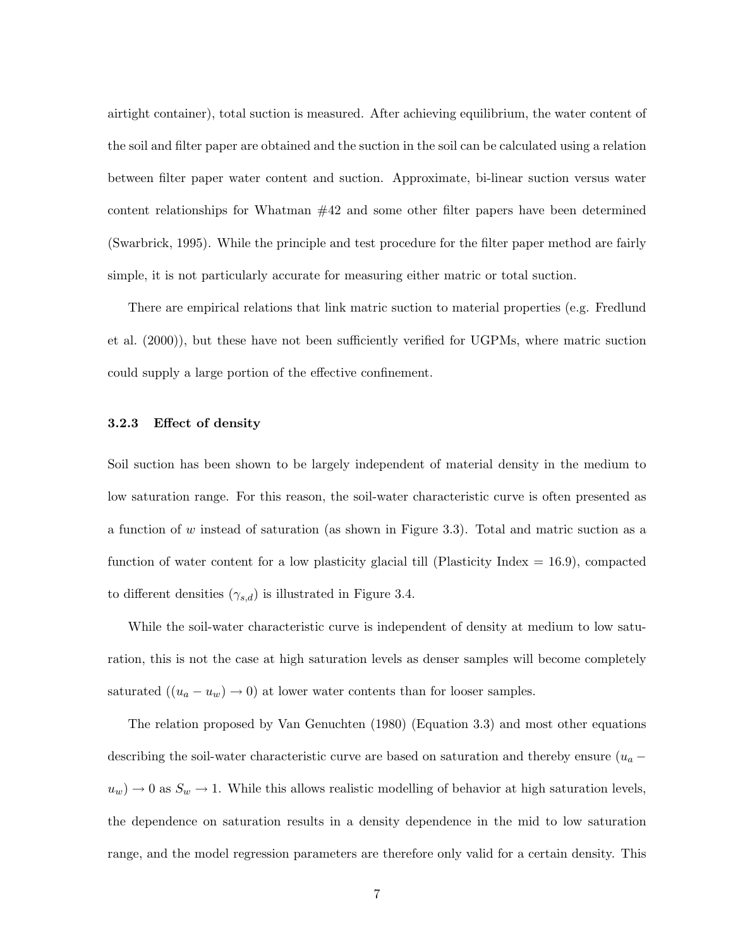airtight container), total suction is measured. After achieving equilibrium, the water content of the soil and filter paper are obtained and the suction in the soil can be calculated using a relation between filter paper water content and suction. Approximate, bi-linear suction versus water content relationships for Whatman #42 and some other filter papers have been determined (Swarbrick, 1995). While the principle and test procedure for the filter paper method are fairly simple, it is not particularly accurate for measuring either matric or total suction.

There are empirical relations that link matric suction to material properties (e.g. Fredlund et al. (2000)), but these have not been sufficiently verified for UGPMs, where matric suction could supply a large portion of the effective confinement.

# 3.2.3 Effect of density

Soil suction has been shown to be largely independent of material density in the medium to low saturation range. For this reason, the soil-water characteristic curve is often presented as a function of w instead of saturation (as shown in Figure 3.3). Total and matric suction as a function of water content for a low plasticity glacial till (Plasticity Index  $= 16.9$ ), compacted to different densities  $(\gamma_{s,d})$  is illustrated in Figure 3.4.

While the soil-water characteristic curve is independent of density at medium to low saturation, this is not the case at high saturation levels as denser samples will become completely saturated  $((u_a - u_w) \rightarrow 0)$  at lower water contents than for looser samples.

The relation proposed by Van Genuchten (1980) (Equation 3.3) and most other equations describing the soil-water characteristic curve are based on saturation and thereby ensure  $(u_a$  $u_w$ )  $\rightarrow$  0 as  $S_w \rightarrow$  1. While this allows realistic modelling of behavior at high saturation levels, the dependence on saturation results in a density dependence in the mid to low saturation range, and the model regression parameters are therefore only valid for a certain density. This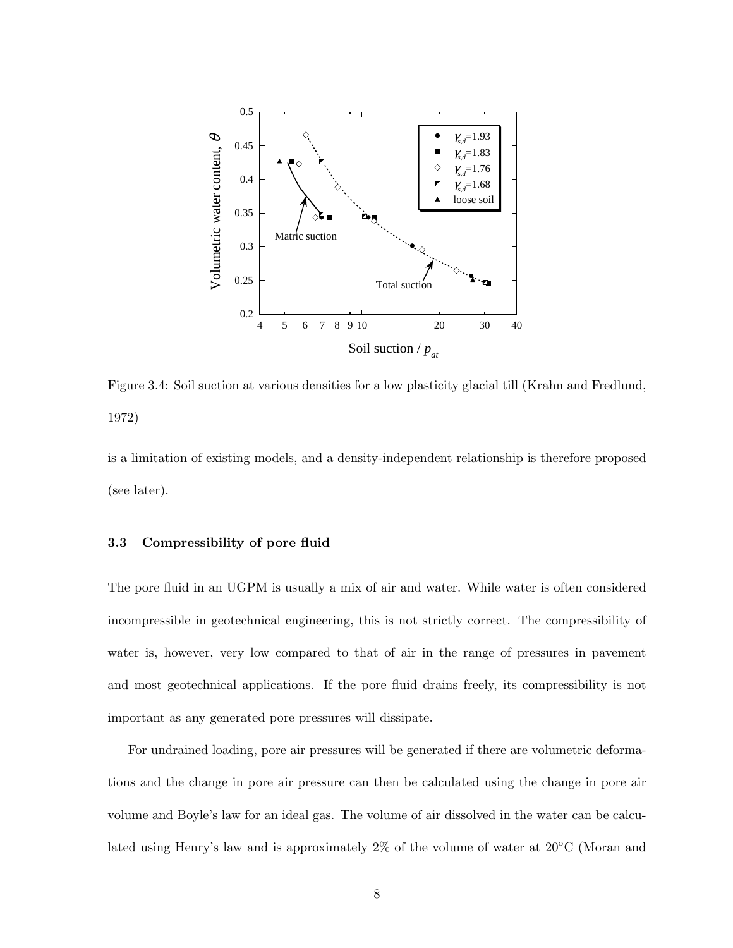

Figure 3.4: Soil suction at various densities for a low plasticity glacial till (Krahn and Fredlund, 1972)

is a limitation of existing models, and a density-independent relationship is therefore proposed (see later).

# 3.3 Compressibility of pore fluid

The pore fluid in an UGPM is usually a mix of air and water. While water is often considered incompressible in geotechnical engineering, this is not strictly correct. The compressibility of water is, however, very low compared to that of air in the range of pressures in pavement and most geotechnical applications. If the pore fluid drains freely, its compressibility is not important as any generated pore pressures will dissipate.

For undrained loading, pore air pressures will be generated if there are volumetric deformations and the change in pore air pressure can then be calculated using the change in pore air volume and Boyle's law for an ideal gas. The volume of air dissolved in the water can be calculated using Henry's law and is approximately  $2\%$  of the volume of water at  $20^{\circ}$ C (Moran and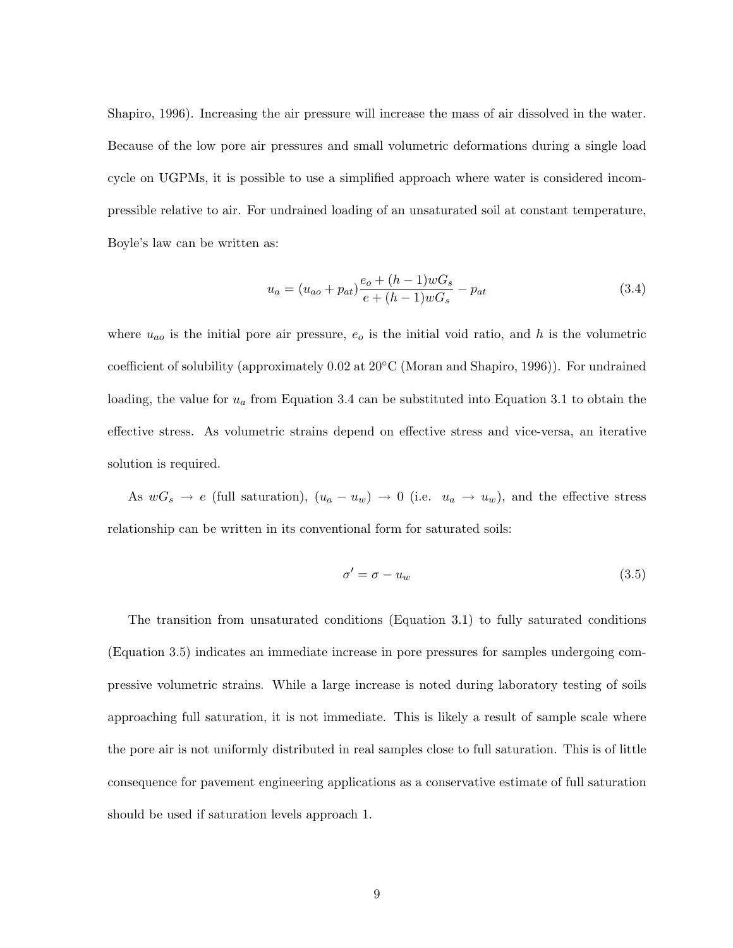Shapiro, 1996). Increasing the air pressure will increase the mass of air dissolved in the water. Because of the low pore air pressures and small volumetric deformations during a single load cycle on UGPMs, it is possible to use a simplified approach where water is considered incompressible relative to air. For undrained loading of an unsaturated soil at constant temperature, Boyle's law can be written as:

$$
u_a = (u_{ao} + p_{at})\frac{e_o + (h-1)wG_s}{e + (h-1)wG_s} - p_{at}
$$
\n(3.4)

where  $u_{ao}$  is the initial pore air pressure,  $e_o$  is the initial void ratio, and h is the volumetric coefficient of solubility (approximately 0.02 at 20◦C (Moran and Shapiro, 1996)). For undrained loading, the value for  $u_a$  from Equation 3.4 can be substituted into Equation 3.1 to obtain the effective stress. As volumetric strains depend on effective stress and vice-versa, an iterative solution is required.

As  $wG_s \to e$  (full saturation),  $(u_a - u_w) \to 0$  (i.e.  $u_a \to u_w$ ), and the effective stress relationship can be written in its conventional form for saturated soils:

$$
\sigma' = \sigma - u_w \tag{3.5}
$$

The transition from unsaturated conditions (Equation 3.1) to fully saturated conditions (Equation 3.5) indicates an immediate increase in pore pressures for samples undergoing compressive volumetric strains. While a large increase is noted during laboratory testing of soils approaching full saturation, it is not immediate. This is likely a result of sample scale where the pore air is not uniformly distributed in real samples close to full saturation. This is of little consequence for pavement engineering applications as a conservative estimate of full saturation should be used if saturation levels approach 1.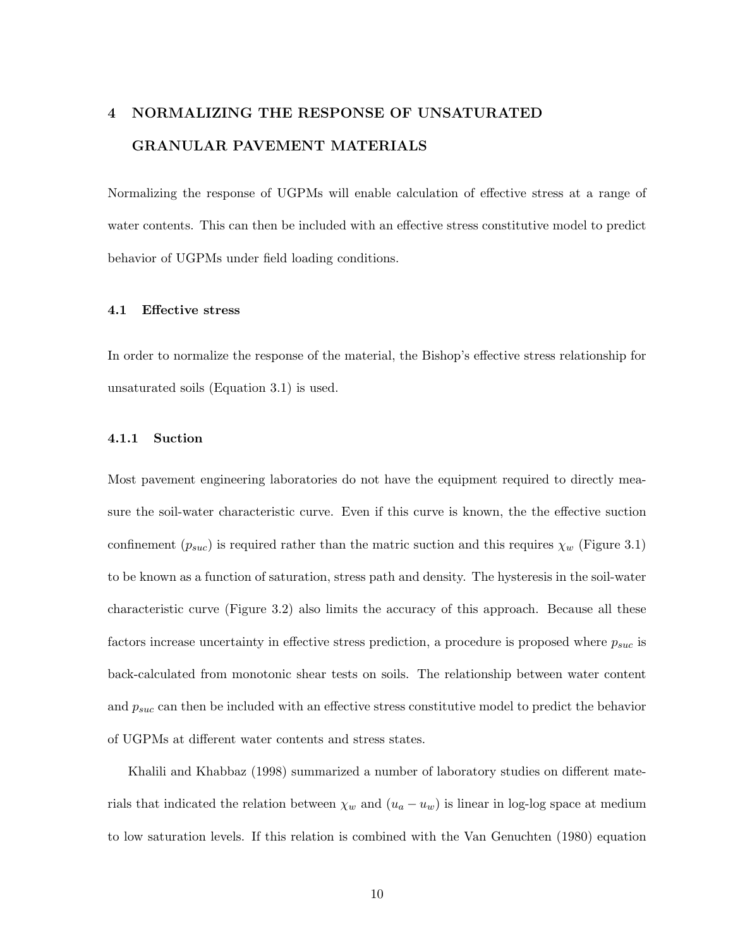# 4 NORMALIZING THE RESPONSE OF UNSATURATED GRANULAR PAVEMENT MATERIALS

Normalizing the response of UGPMs will enable calculation of effective stress at a range of water contents. This can then be included with an effective stress constitutive model to predict behavior of UGPMs under field loading conditions.

# 4.1 Effective stress

In order to normalize the response of the material, the Bishop's effective stress relationship for unsaturated soils (Equation 3.1) is used.

#### 4.1.1 Suction

Most pavement engineering laboratories do not have the equipment required to directly measure the soil-water characteristic curve. Even if this curve is known, the the effective suction confinement  $(p_{suc})$  is required rather than the matric suction and this requires  $\chi_w$  (Figure 3.1) to be known as a function of saturation, stress path and density. The hysteresis in the soil-water characteristic curve (Figure 3.2) also limits the accuracy of this approach. Because all these factors increase uncertainty in effective stress prediction, a procedure is proposed where  $p_{suc}$  is back-calculated from monotonic shear tests on soils. The relationship between water content and  $p_{suc}$  can then be included with an effective stress constitutive model to predict the behavior of UGPMs at different water contents and stress states.

Khalili and Khabbaz (1998) summarized a number of laboratory studies on different materials that indicated the relation between  $\chi_w$  and  $(u_a - u_w)$  is linear in log-log space at medium to low saturation levels. If this relation is combined with the Van Genuchten (1980) equation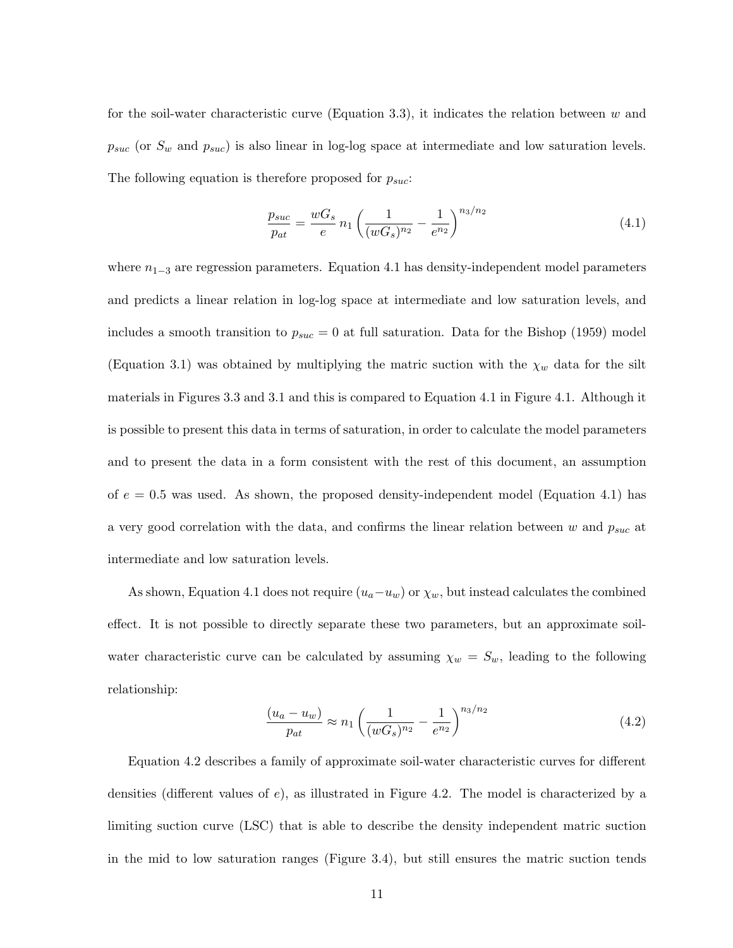for the soil-water characteristic curve (Equation 3.3), it indicates the relation between  $w$  and  $p_{suc}$  (or  $S_w$  and  $p_{suc}$ ) is also linear in log-log space at intermediate and low saturation levels. The following equation is therefore proposed for  $p_{suc}$ :

$$
\frac{p_{suc}}{p_{at}} = \frac{wG_s}{e} n_1 \left(\frac{1}{(wG_s)^{n_2}} - \frac{1}{e^{n_2}}\right)^{n_3/n_2} \tag{4.1}
$$

where  $n_{1-3}$  are regression parameters. Equation 4.1 has density-independent model parameters and predicts a linear relation in log-log space at intermediate and low saturation levels, and includes a smooth transition to  $p_{suc} = 0$  at full saturation. Data for the Bishop (1959) model (Equation 3.1) was obtained by multiplying the matric suction with the  $\chi_w$  data for the silt materials in Figures 3.3 and 3.1 and this is compared to Equation 4.1 in Figure 4.1. Although it is possible to present this data in terms of saturation, in order to calculate the model parameters and to present the data in a form consistent with the rest of this document, an assumption of  $e = 0.5$  was used. As shown, the proposed density-independent model (Equation 4.1) has a very good correlation with the data, and confirms the linear relation between  $w$  and  $p_{suc}$  at intermediate and low saturation levels.

As shown, Equation 4.1 does not require  $(u_a-u_w)$  or  $\chi_w$ , but instead calculates the combined effect. It is not possible to directly separate these two parameters, but an approximate soilwater characteristic curve can be calculated by assuming  $\chi_w = S_w$ , leading to the following relationship:

$$
\frac{(u_a - u_w)}{p_{at}} \approx n_1 \left(\frac{1}{(wG_s)^{n_2}} - \frac{1}{e^{n_2}}\right)^{n_3/n_2} \tag{4.2}
$$

Equation 4.2 describes a family of approximate soil-water characteristic curves for different densities (different values of  $e$ ), as illustrated in Figure 4.2. The model is characterized by a limiting suction curve (LSC) that is able to describe the density independent matric suction in the mid to low saturation ranges (Figure 3.4), but still ensures the matric suction tends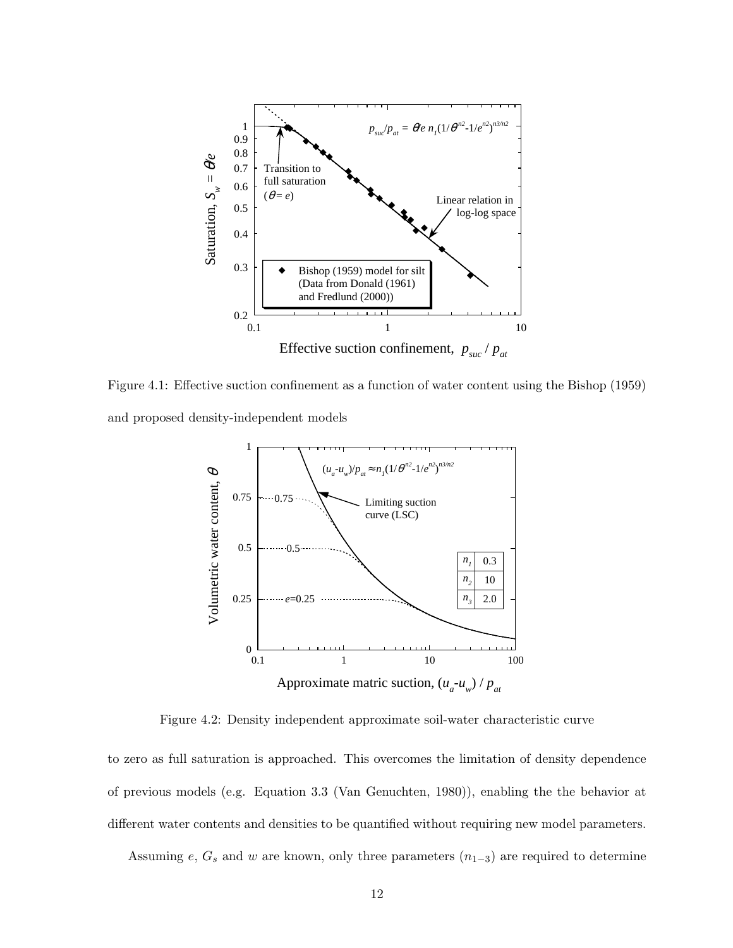

Figure 4.1: Effective suction confinement as a function of water content using the Bishop (1959) and proposed density-independent models



Figure 4.2: Density independent approximate soil-water characteristic curve

to zero as full saturation is approached. This overcomes the limitation of density dependence of previous models (e.g. Equation 3.3 (Van Genuchten, 1980)), enabling the the behavior at different water contents and densities to be quantified without requiring new model parameters.

Assuming e,  $G_s$  and w are known, only three parameters  $(n_{1-3})$  are required to determine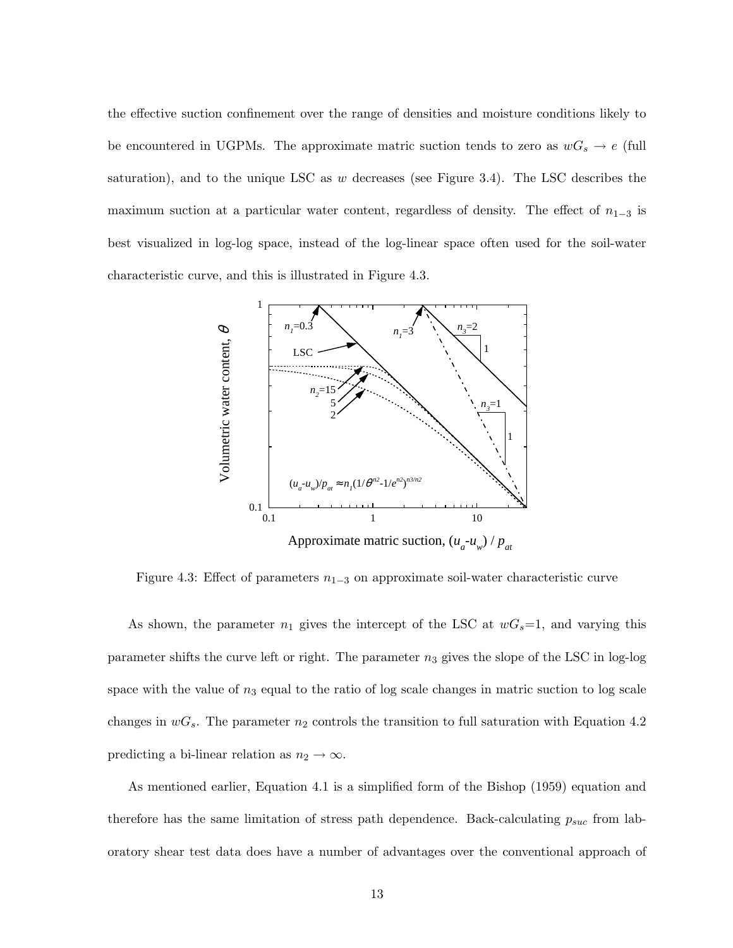the effective suction confinement over the range of densities and moisture conditions likely to be encountered in UGPMs. The approximate matric suction tends to zero as  $wG_s \to e$  (full saturation), and to the unique LSC as  $w$  decreases (see Figure 3.4). The LSC describes the maximum suction at a particular water content, regardless of density. The effect of  $n_{1-3}$  is best visualized in log-log space, instead of the log-linear space often used for the soil-water characteristic curve, and this is illustrated in Figure 4.3.



Figure 4.3: Effect of parameters  $n_{1-3}$  on approximate soil-water characteristic curve

As shown, the parameter  $n_1$  gives the intercept of the LSC at  $wG_s=1$ , and varying this parameter shifts the curve left or right. The parameter  $n_3$  gives the slope of the LSC in log-log space with the value of  $n_3$  equal to the ratio of log scale changes in matric suction to log scale changes in  $wG_s$ . The parameter  $n_2$  controls the transition to full saturation with Equation 4.2 predicting a bi-linear relation as  $n_2 \to \infty$ .

As mentioned earlier, Equation 4.1 is a simplified form of the Bishop (1959) equation and therefore has the same limitation of stress path dependence. Back-calculating  $p_{suc}$  from laboratory shear test data does have a number of advantages over the conventional approach of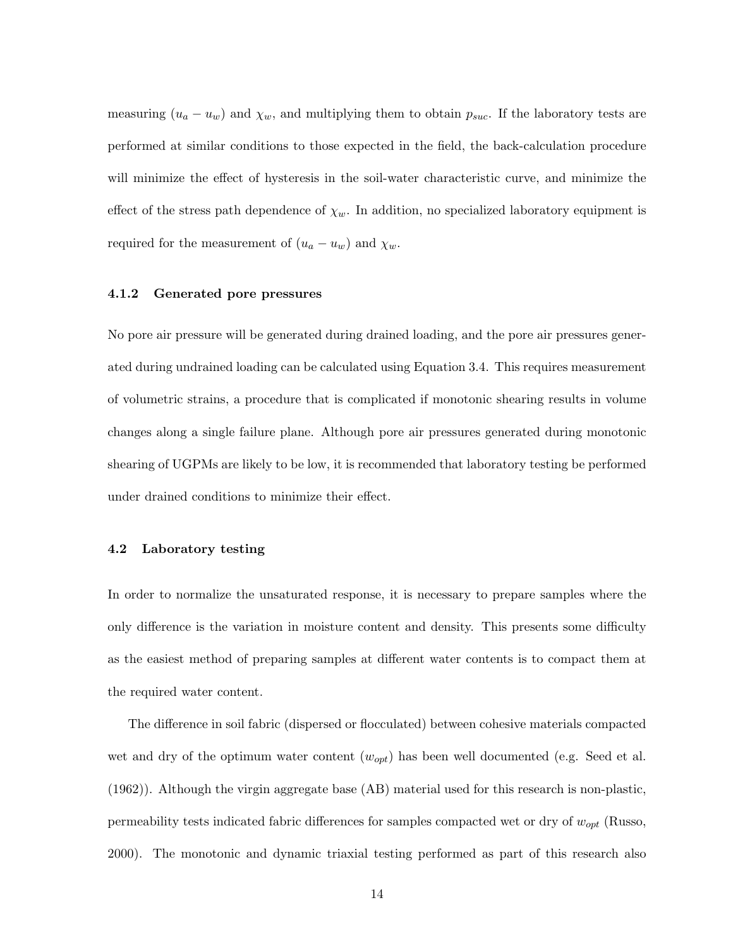measuring  $(u_a - u_w)$  and  $\chi_w$ , and multiplying them to obtain  $p_{suc}$ . If the laboratory tests are performed at similar conditions to those expected in the field, the back-calculation procedure will minimize the effect of hysteresis in the soil-water characteristic curve, and minimize the effect of the stress path dependence of  $\chi_w$ . In addition, no specialized laboratory equipment is required for the measurement of  $(u_a - u_w)$  and  $\chi_w$ .

#### 4.1.2 Generated pore pressures

No pore air pressure will be generated during drained loading, and the pore air pressures generated during undrained loading can be calculated using Equation 3.4. This requires measurement of volumetric strains, a procedure that is complicated if monotonic shearing results in volume changes along a single failure plane. Although pore air pressures generated during monotonic shearing of UGPMs are likely to be low, it is recommended that laboratory testing be performed under drained conditions to minimize their effect.

#### 4.2 Laboratory testing

In order to normalize the unsaturated response, it is necessary to prepare samples where the only difference is the variation in moisture content and density. This presents some difficulty as the easiest method of preparing samples at different water contents is to compact them at the required water content.

The difference in soil fabric (dispersed or flocculated) between cohesive materials compacted wet and dry of the optimum water content  $(w_{opt})$  has been well documented (e.g. Seed et al. (1962)). Although the virgin aggregate base (AB) material used for this research is non-plastic, permeability tests indicated fabric differences for samples compacted wet or dry of  $w_{opt}$  (Russo, 2000). The monotonic and dynamic triaxial testing performed as part of this research also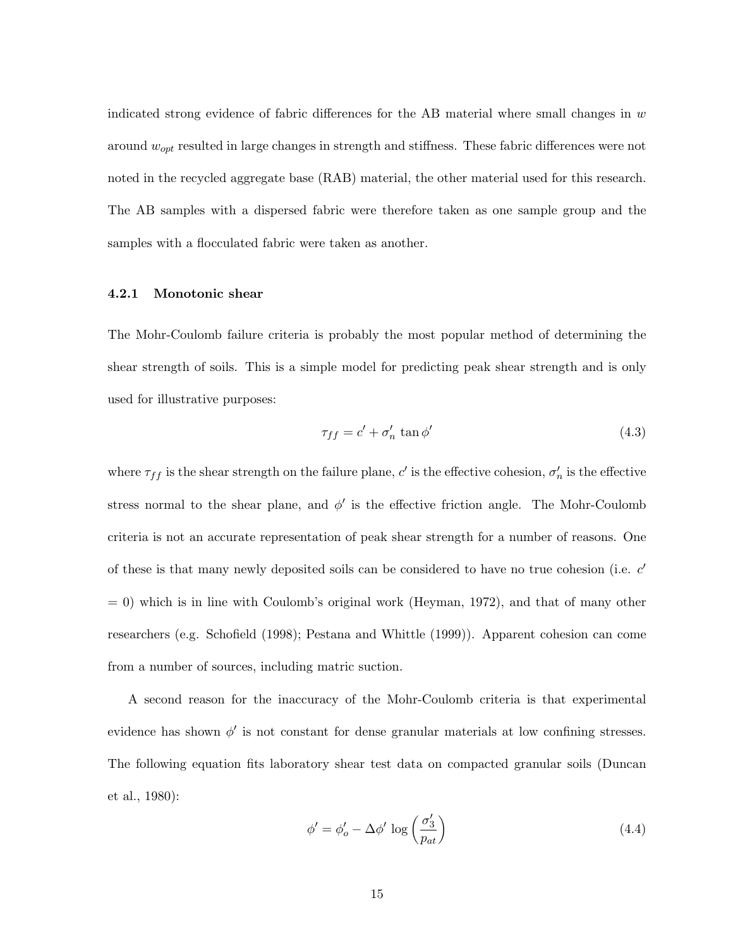indicated strong evidence of fabric differences for the AB material where small changes in  $w$ around  $w_{opt}$  resulted in large changes in strength and stiffness. These fabric differences were not noted in the recycled aggregate base (RAB) material, the other material used for this research. The AB samples with a dispersed fabric were therefore taken as one sample group and the samples with a flocculated fabric were taken as another.

#### 4.2.1 Monotonic shear

The Mohr-Coulomb failure criteria is probably the most popular method of determining the shear strength of soils. This is a simple model for predicting peak shear strength and is only used for illustrative purposes:

$$
\tau_{ff} = c' + \sigma'_n \tan \phi' \tag{4.3}
$$

where  $\tau_{ff}$  is the shear strength on the failure plane, c' is the effective cohesion,  $\sigma'_n$  is the effective stress normal to the shear plane, and  $\phi'$  is the effective friction angle. The Mohr-Coulomb criteria is not an accurate representation of peak shear strength for a number of reasons. One of these is that many newly deposited soils can be considered to have no true cohesion (i.e.  $c'$  $= 0$ ) which is in line with Coulomb's original work (Heyman, 1972), and that of many other researchers (e.g. Schofield (1998); Pestana and Whittle (1999)). Apparent cohesion can come from a number of sources, including matric suction.

A second reason for the inaccuracy of the Mohr-Coulomb criteria is that experimental evidence has shown  $\phi'$  is not constant for dense granular materials at low confining stresses. The following equation fits laboratory shear test data on compacted granular soils (Duncan et al., 1980):

$$
\phi' = \phi'_o - \Delta \phi' \log \left( \frac{\sigma'_3}{p_{at}} \right) \tag{4.4}
$$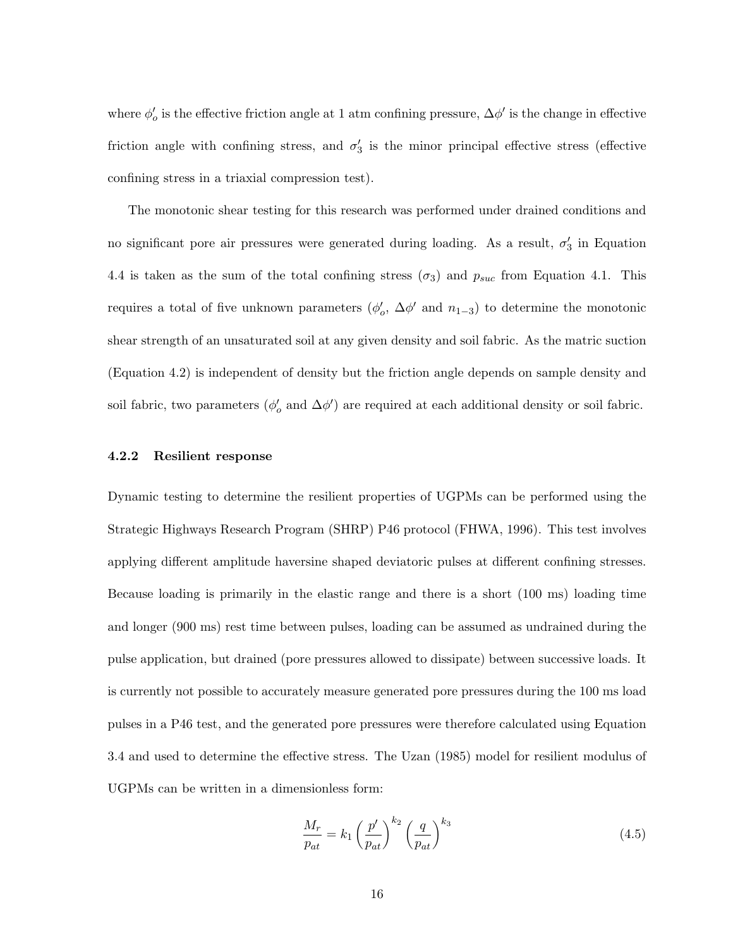where  $\phi'_{o}$  is the effective friction angle at 1 atm confining pressure,  $\Delta \phi'$  is the change in effective friction angle with confining stress, and  $\sigma'_{3}$  is the minor principal effective stress (effective confining stress in a triaxial compression test).

The monotonic shear testing for this research was performed under drained conditions and no significant pore air pressures were generated during loading. As a result,  $\sigma'_3$  in Equation 4.4 is taken as the sum of the total confining stress  $(\sigma_3)$  and  $p_{suc}$  from Equation 4.1. This requires a total of five unknown parameters  $(\phi'_o, \Delta\phi'$  and  $n_{1-3})$  to determine the monotonic shear strength of an unsaturated soil at any given density and soil fabric. As the matric suction (Equation 4.2) is independent of density but the friction angle depends on sample density and soil fabric, two parameters  $(\phi_o'$  and  $\Delta\phi'$ ) are required at each additional density or soil fabric.

# 4.2.2 Resilient response

Dynamic testing to determine the resilient properties of UGPMs can be performed using the Strategic Highways Research Program (SHRP) P46 protocol (FHWA, 1996). This test involves applying different amplitude haversine shaped deviatoric pulses at different confining stresses. Because loading is primarily in the elastic range and there is a short (100 ms) loading time and longer (900 ms) rest time between pulses, loading can be assumed as undrained during the pulse application, but drained (pore pressures allowed to dissipate) between successive loads. It is currently not possible to accurately measure generated pore pressures during the 100 ms load pulses in a P46 test, and the generated pore pressures were therefore calculated using Equation 3.4 and used to determine the effective stress. The Uzan (1985) model for resilient modulus of UGPMs can be written in a dimensionless form:

$$
\frac{M_r}{p_{at}} = k_1 \left(\frac{p'}{p_{at}}\right)^{k_2} \left(\frac{q}{p_{at}}\right)^{k_3} \tag{4.5}
$$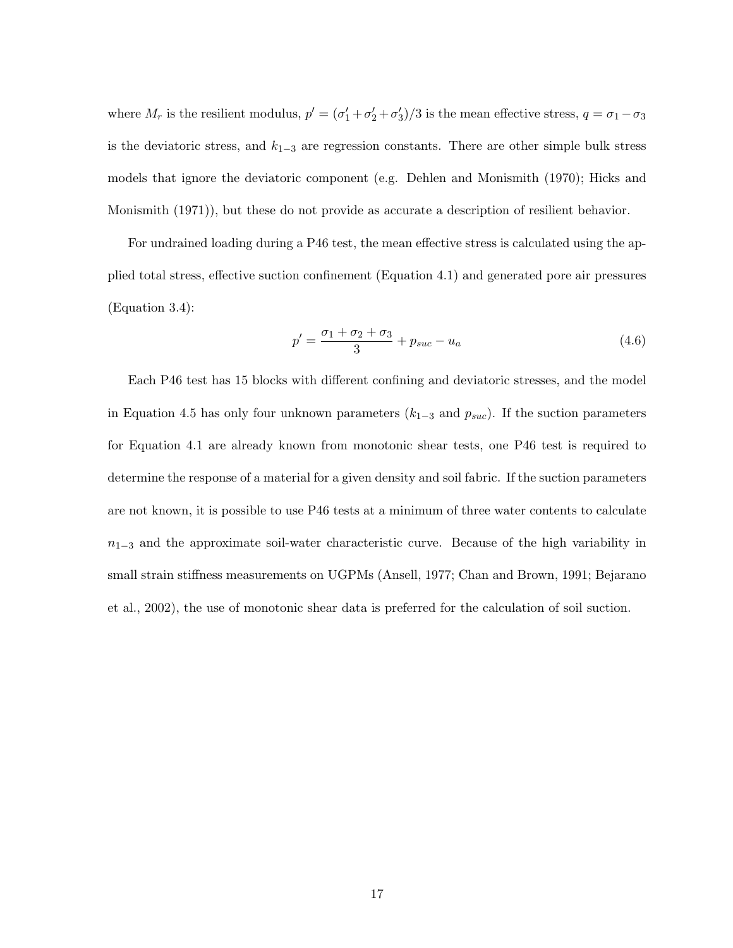where  $M_r$  is the resilient modulus,  $p' = (\sigma'_1 + \sigma'_2 + \sigma'_3)/3$  is the mean effective stress,  $q = \sigma_1 - \sigma_3$ is the deviatoric stress, and  $k_{1-3}$  are regression constants. There are other simple bulk stress models that ignore the deviatoric component (e.g. Dehlen and Monismith (1970); Hicks and Monismith (1971)), but these do not provide as accurate a description of resilient behavior.

For undrained loading during a P46 test, the mean effective stress is calculated using the applied total stress, effective suction confinement (Equation 4.1) and generated pore air pressures (Equation 3.4):

$$
p' = \frac{\sigma_1 + \sigma_2 + \sigma_3}{3} + p_{suc} - u_a \tag{4.6}
$$

Each P46 test has 15 blocks with different confining and deviatoric stresses, and the model in Equation 4.5 has only four unknown parameters  $(k_{1-3}$  and  $p_{suc})$ . If the suction parameters for Equation 4.1 are already known from monotonic shear tests, one P46 test is required to determine the response of a material for a given density and soil fabric. If the suction parameters are not known, it is possible to use P46 tests at a minimum of three water contents to calculate  $n_{1-3}$  and the approximate soil-water characteristic curve. Because of the high variability in small strain stiffness measurements on UGPMs (Ansell, 1977; Chan and Brown, 1991; Bejarano et al., 2002), the use of monotonic shear data is preferred for the calculation of soil suction.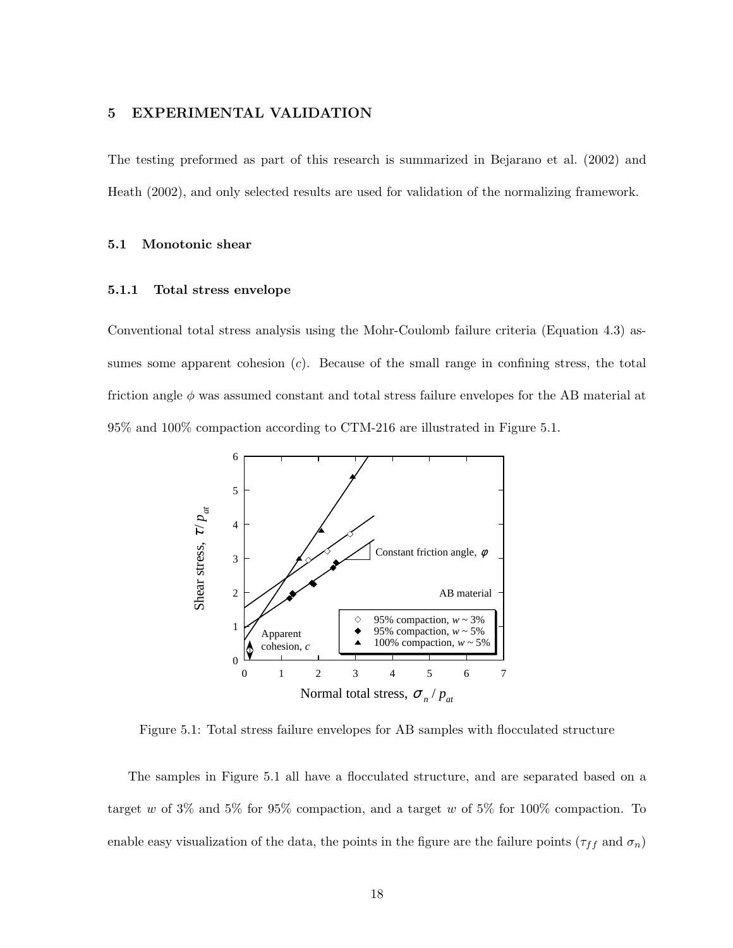# 5 EXPERIMENTAL VALIDATION

The testing preformed as part of this research is summarized in Bejarano et al. (2002) and Heath (2002), and only selected results are used for validation of the normalizing framework.

# 5.1 Monotonic shear

# 5.1.1 Total stress envelope

Conventional total stress analysis using the Mohr-Coulomb failure criteria (Equation 4.3) assumes some apparent cohesion  $(c)$ . Because of the small range in confining stress, the total friction angle  $\phi$  was assumed constant and total stress failure envelopes for the AB material at 95% and 100% compaction according to CTM-216 are illustrated in Figure 5.1.



Figure 5.1: Total stress failure envelopes for AB samples with flocculated structure

The samples in Figure 5.1 all have a flocculated structure, and are separated based on a target w of  $3\%$  and  $5\%$  for  $95\%$  compaction, and a target w of  $5\%$  for  $100\%$  compaction. To enable easy visualization of the data, the points in the figure are the failure points  $(\tau_{ff}$  and  $\sigma_n)$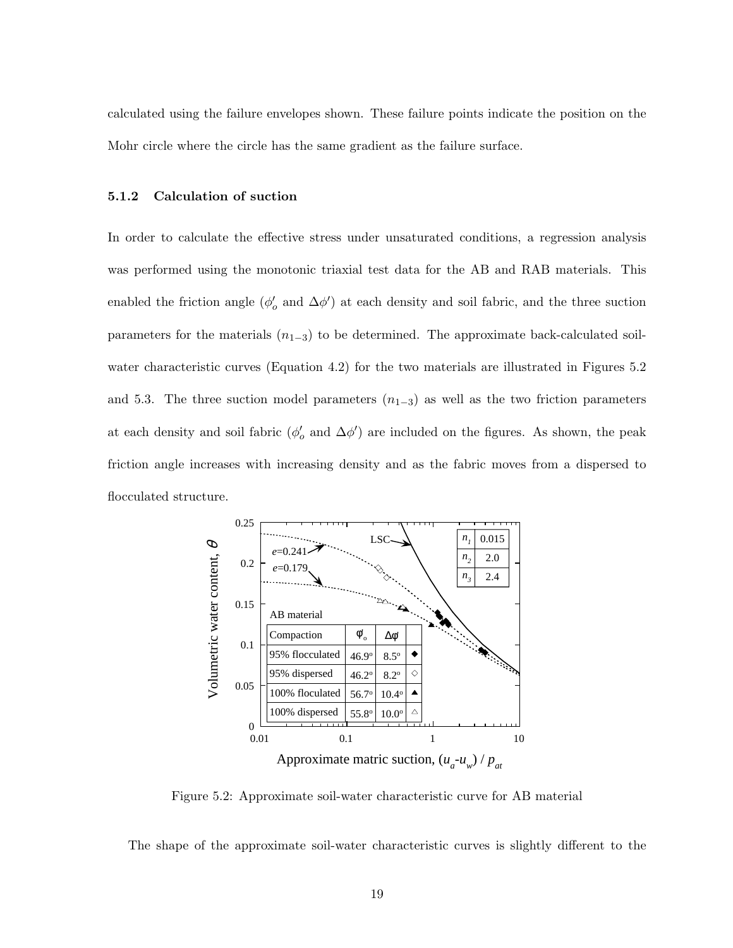calculated using the failure envelopes shown. These failure points indicate the position on the Mohr circle where the circle has the same gradient as the failure surface.

# 5.1.2 Calculation of suction

In order to calculate the effective stress under unsaturated conditions, a regression analysis was performed using the monotonic triaxial test data for the AB and RAB materials. This enabled the friction angle  $(\phi_o'$  and  $\Delta\phi'$ ) at each density and soil fabric, and the three suction parameters for the materials  $(n_{1-3})$  to be determined. The approximate back-calculated soilwater characteristic curves (Equation 4.2) for the two materials are illustrated in Figures 5.2 and 5.3. The three suction model parameters  $(n_{1-3})$  as well as the two friction parameters at each density and soil fabric  $(\phi'_o$  and  $\Delta\phi')$  are included on the figures. As shown, the peak friction angle increases with increasing density and as the fabric moves from a dispersed to flocculated structure.



Figure 5.2: Approximate soil-water characteristic curve for AB material

The shape of the approximate soil-water characteristic curves is slightly different to the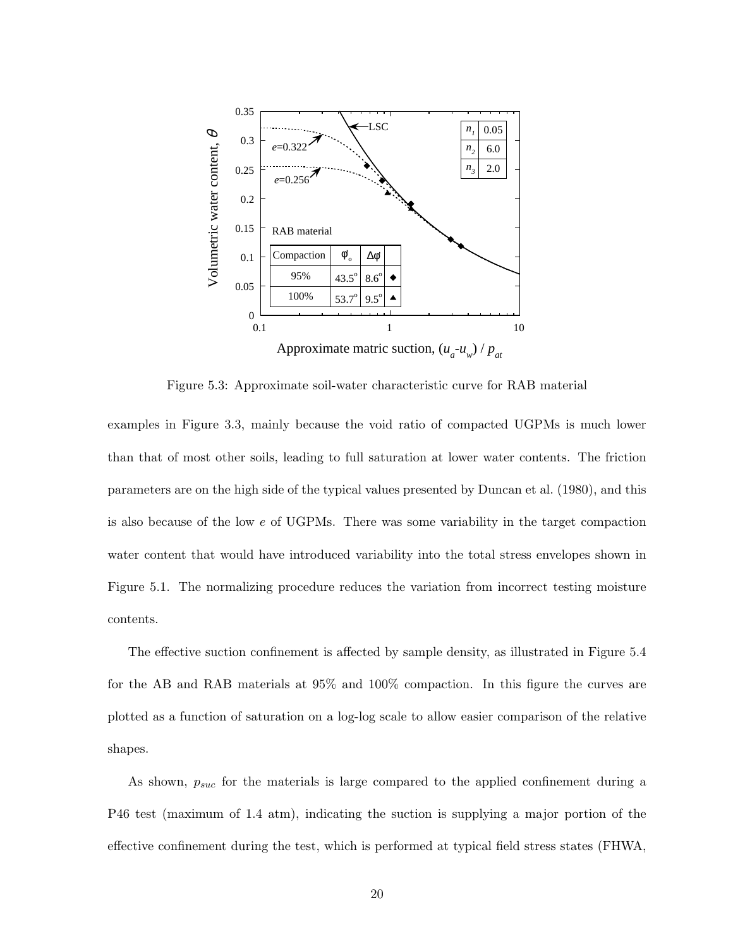

Figure 5.3: Approximate soil-water characteristic curve for RAB material

examples in Figure 3.3, mainly because the void ratio of compacted UGPMs is much lower than that of most other soils, leading to full saturation at lower water contents. The friction parameters are on the high side of the typical values presented by Duncan et al. (1980), and this is also because of the low e of UGPMs. There was some variability in the target compaction water content that would have introduced variability into the total stress envelopes shown in Figure 5.1. The normalizing procedure reduces the variation from incorrect testing moisture contents.

The effective suction confinement is affected by sample density, as illustrated in Figure 5.4 for the AB and RAB materials at 95% and 100% compaction. In this figure the curves are plotted as a function of saturation on a log-log scale to allow easier comparison of the relative shapes.

As shown,  $p_{suc}$  for the materials is large compared to the applied confinement during a P46 test (maximum of 1.4 atm), indicating the suction is supplying a major portion of the effective confinement during the test, which is performed at typical field stress states (FHWA,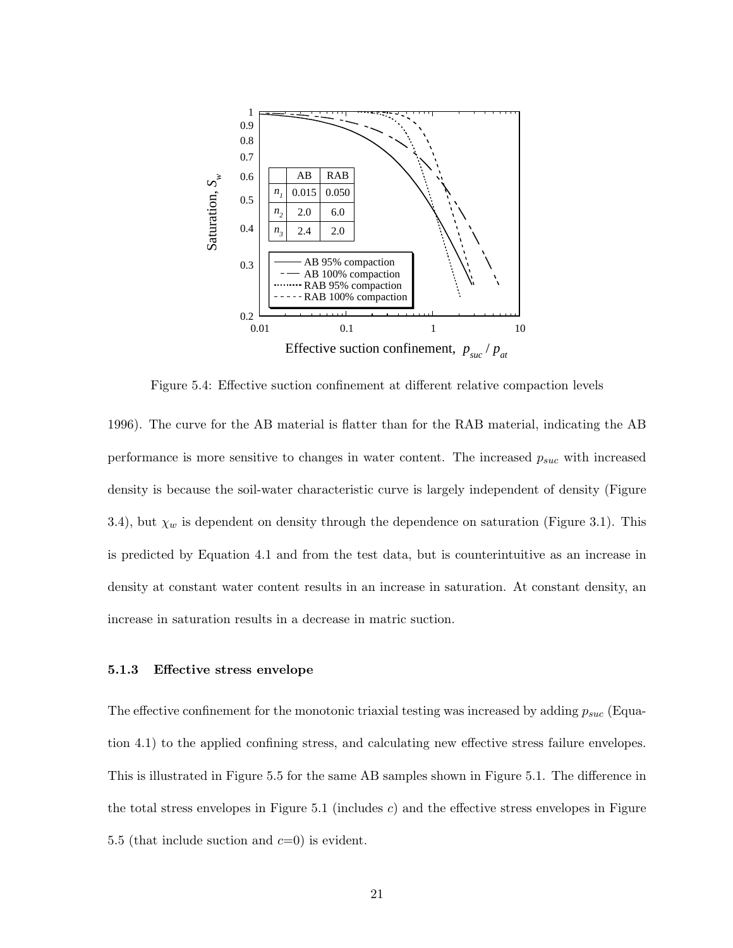

Figure 5.4: Effective suction confinement at different relative compaction levels

1996). The curve for the AB material is flatter than for the RAB material, indicating the AB performance is more sensitive to changes in water content. The increased  $p_{suc}$  with increased density is because the soil-water characteristic curve is largely independent of density (Figure 3.4), but  $\chi_w$  is dependent on density through the dependence on saturation (Figure 3.1). This is predicted by Equation 4.1 and from the test data, but is counterintuitive as an increase in density at constant water content results in an increase in saturation. At constant density, an increase in saturation results in a decrease in matric suction.

# 5.1.3 Effective stress envelope

The effective confinement for the monotonic triaxial testing was increased by adding  $p_{suc}$  (Equation 4.1) to the applied confining stress, and calculating new effective stress failure envelopes. This is illustrated in Figure 5.5 for the same AB samples shown in Figure 5.1. The difference in the total stress envelopes in Figure 5.1 (includes  $c$ ) and the effective stress envelopes in Figure 5.5 (that include suction and  $c=0$ ) is evident.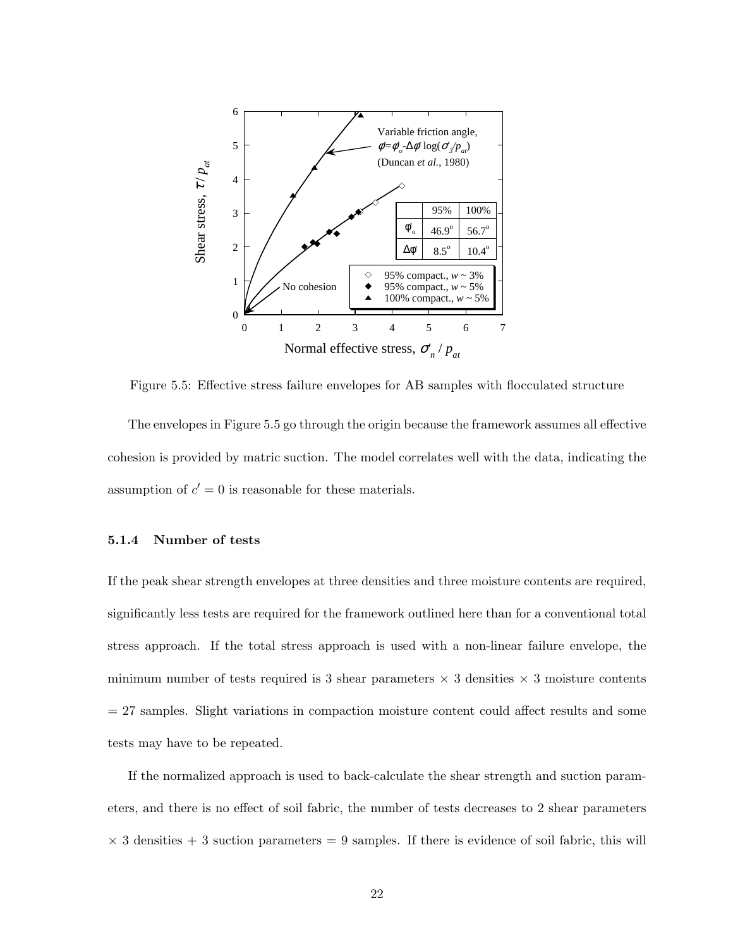

Figure 5.5: Effective stress failure envelopes for AB samples with flocculated structure

The envelopes in Figure 5.5 go through the origin because the framework assumes all effective cohesion is provided by matric suction. The model correlates well with the data, indicating the assumption of  $c' = 0$  is reasonable for these materials.

# 5.1.4 Number of tests

If the peak shear strength envelopes at three densities and three moisture contents are required, significantly less tests are required for the framework outlined here than for a conventional total stress approach. If the total stress approach is used with a non-linear failure envelope, the minimum number of tests required is 3 shear parameters  $\times$  3 densities  $\times$  3 moisture contents = 27 samples. Slight variations in compaction moisture content could affect results and some tests may have to be repeated.

If the normalized approach is used to back-calculate the shear strength and suction parameters, and there is no effect of soil fabric, the number of tests decreases to 2 shear parameters  $\times$  3 densities  $+$  3 suction parameters  $=$  9 samples. If there is evidence of soil fabric, this will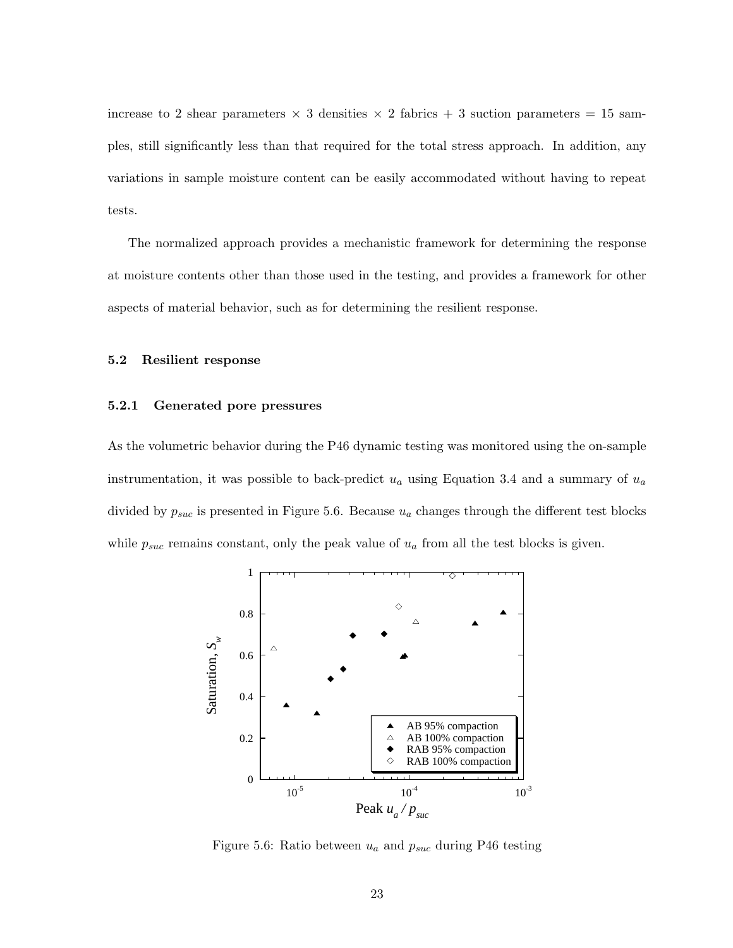increase to 2 shear parameters  $\times$  3 densities  $\times$  2 fabrics + 3 suction parameters = 15 samples, still significantly less than that required for the total stress approach. In addition, any variations in sample moisture content can be easily accommodated without having to repeat tests.

The normalized approach provides a mechanistic framework for determining the response at moisture contents other than those used in the testing, and provides a framework for other aspects of material behavior, such as for determining the resilient response.

#### 5.2 Resilient response

#### 5.2.1 Generated pore pressures

As the volumetric behavior during the P46 dynamic testing was monitored using the on-sample instrumentation, it was possible to back-predict  $u_a$  using Equation 3.4 and a summary of  $u_a$ divided by  $p_{suc}$  is presented in Figure 5.6. Because  $u_a$  changes through the different test blocks while  $p_{suc}$  remains constant, only the peak value of  $u_a$  from all the test blocks is given.



Figure 5.6: Ratio between  $u_a$  and  $p_{suc}$  during P46 testing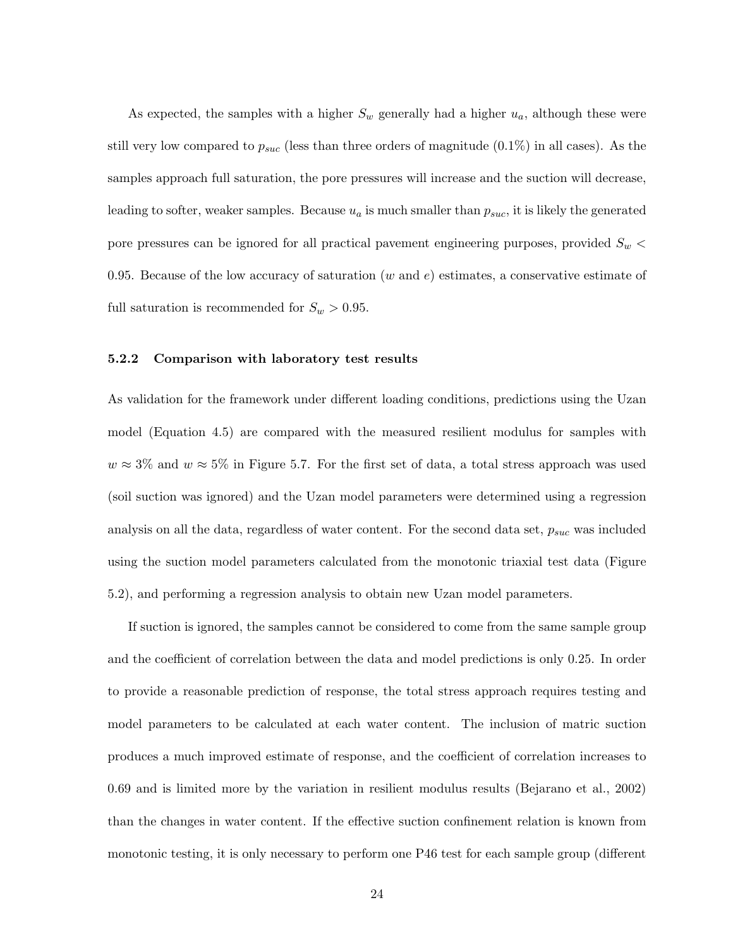As expected, the samples with a higher  $S_w$  generally had a higher  $u_a$ , although these were still very low compared to  $p_{suc}$  (less than three orders of magnitude  $(0.1\%)$  in all cases). As the samples approach full saturation, the pore pressures will increase and the suction will decrease, leading to softer, weaker samples. Because  $u_a$  is much smaller than  $p_{suc}$ , it is likely the generated pore pressures can be ignored for all practical pavement engineering purposes, provided  $S_w$ 0.95. Because of the low accuracy of saturation (w and  $e$ ) estimates, a conservative estimate of full saturation is recommended for  $S_w > 0.95$ .

#### 5.2.2 Comparison with laboratory test results

As validation for the framework under different loading conditions, predictions using the Uzan model (Equation 4.5) are compared with the measured resilient modulus for samples with  $w \approx 3\%$  and  $w \approx 5\%$  in Figure 5.7. For the first set of data, a total stress approach was used (soil suction was ignored) and the Uzan model parameters were determined using a regression analysis on all the data, regardless of water content. For the second data set,  $p_{suc}$  was included using the suction model parameters calculated from the monotonic triaxial test data (Figure 5.2), and performing a regression analysis to obtain new Uzan model parameters.

If suction is ignored, the samples cannot be considered to come from the same sample group and the coefficient of correlation between the data and model predictions is only 0.25. In order to provide a reasonable prediction of response, the total stress approach requires testing and model parameters to be calculated at each water content. The inclusion of matric suction produces a much improved estimate of response, and the coefficient of correlation increases to 0.69 and is limited more by the variation in resilient modulus results (Bejarano et al., 2002) than the changes in water content. If the effective suction confinement relation is known from monotonic testing, it is only necessary to perform one P46 test for each sample group (different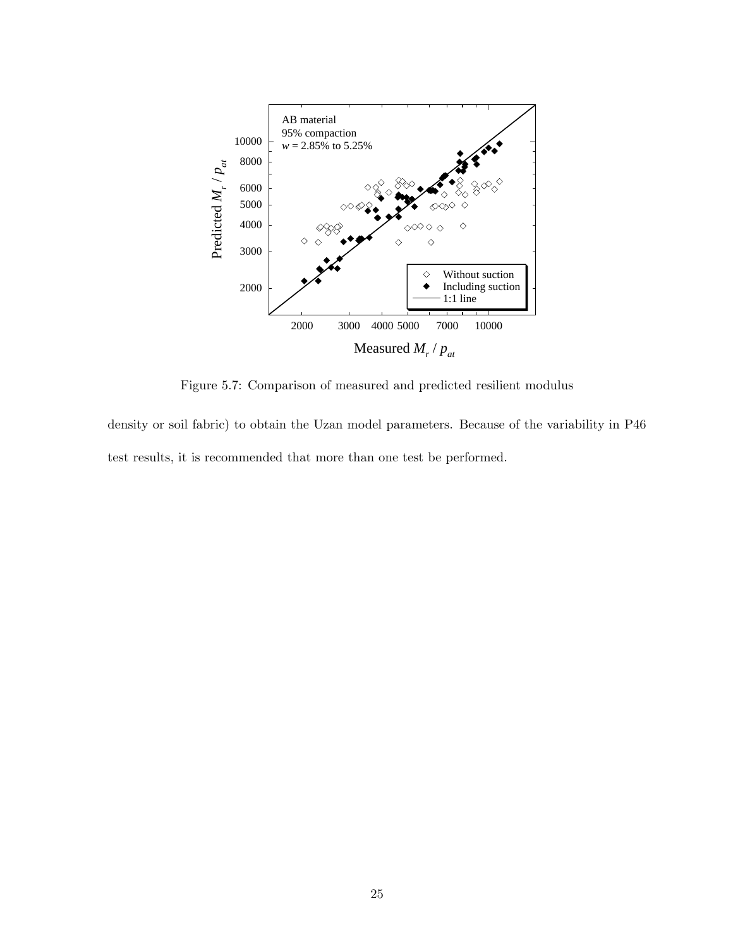

Figure 5.7: Comparison of measured and predicted resilient modulus

density or soil fabric) to obtain the Uzan model parameters. Because of the variability in P46 test results, it is recommended that more than one test be performed.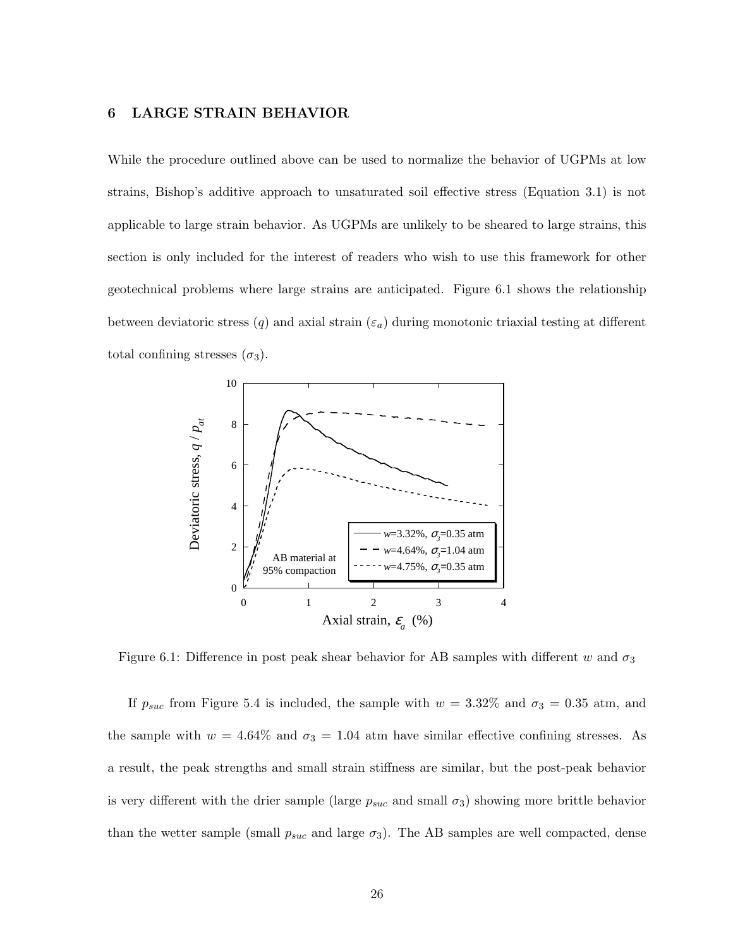# 6 LARGE STRAIN BEHAVIOR

While the procedure outlined above can be used to normalize the behavior of UGPMs at low strains, Bishop's additive approach to unsaturated soil effective stress (Equation 3.1) is not applicable to large strain behavior. As UGPMs are unlikely to be sheared to large strains, this section is only included for the interest of readers who wish to use this framework for other geotechnical problems where large strains are anticipated. Figure 6.1 shows the relationship between deviatoric stress  $(q)$  and axial strain  $(\varepsilon_a)$  during monotonic triaxial testing at different total confining stresses  $(\sigma_3)$ .



Figure 6.1: Difference in post peak shear behavior for AB samples with different w and  $\sigma_3$ 

If  $p_{suc}$  from Figure 5.4 is included, the sample with  $w = 3.32\%$  and  $\sigma_3 = 0.35$  atm, and the sample with  $w = 4.64\%$  and  $\sigma_3 = 1.04$  atm have similar effective confining stresses. As a result, the peak strengths and small strain stiffness are similar, but the post-peak behavior is very different with the drier sample (large  $p_{suc}$  and small  $\sigma_3$ ) showing more brittle behavior than the wetter sample (small  $p_{suc}$  and large  $\sigma_3$ ). The AB samples are well compacted, dense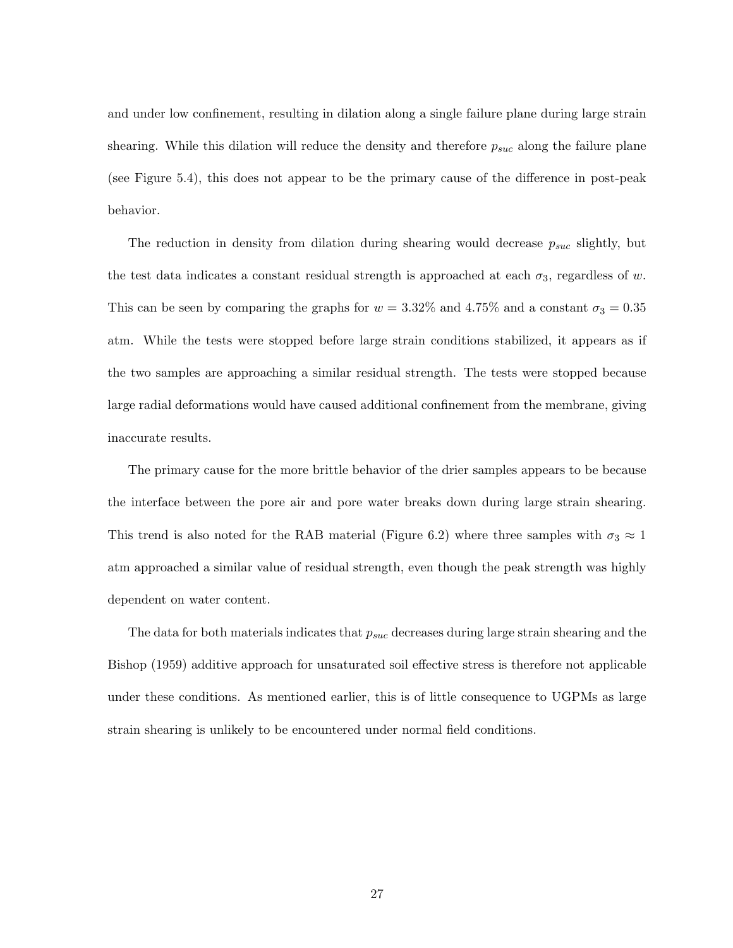and under low confinement, resulting in dilation along a single failure plane during large strain shearing. While this dilation will reduce the density and therefore  $p_{suc}$  along the failure plane (see Figure 5.4), this does not appear to be the primary cause of the difference in post-peak behavior.

The reduction in density from dilation during shearing would decrease  $p_{suc}$  slightly, but the test data indicates a constant residual strength is approached at each  $\sigma_3$ , regardless of w. This can be seen by comparing the graphs for  $w = 3.32\%$  and  $4.75\%$  and a constant  $\sigma_3 = 0.35$ atm. While the tests were stopped before large strain conditions stabilized, it appears as if the two samples are approaching a similar residual strength. The tests were stopped because large radial deformations would have caused additional confinement from the membrane, giving inaccurate results.

The primary cause for the more brittle behavior of the drier samples appears to be because the interface between the pore air and pore water breaks down during large strain shearing. This trend is also noted for the RAB material (Figure 6.2) where three samples with  $\sigma_3 \approx 1$ atm approached a similar value of residual strength, even though the peak strength was highly dependent on water content.

The data for both materials indicates that  $p_{suc}$  decreases during large strain shearing and the Bishop (1959) additive approach for unsaturated soil effective stress is therefore not applicable under these conditions. As mentioned earlier, this is of little consequence to UGPMs as large strain shearing is unlikely to be encountered under normal field conditions.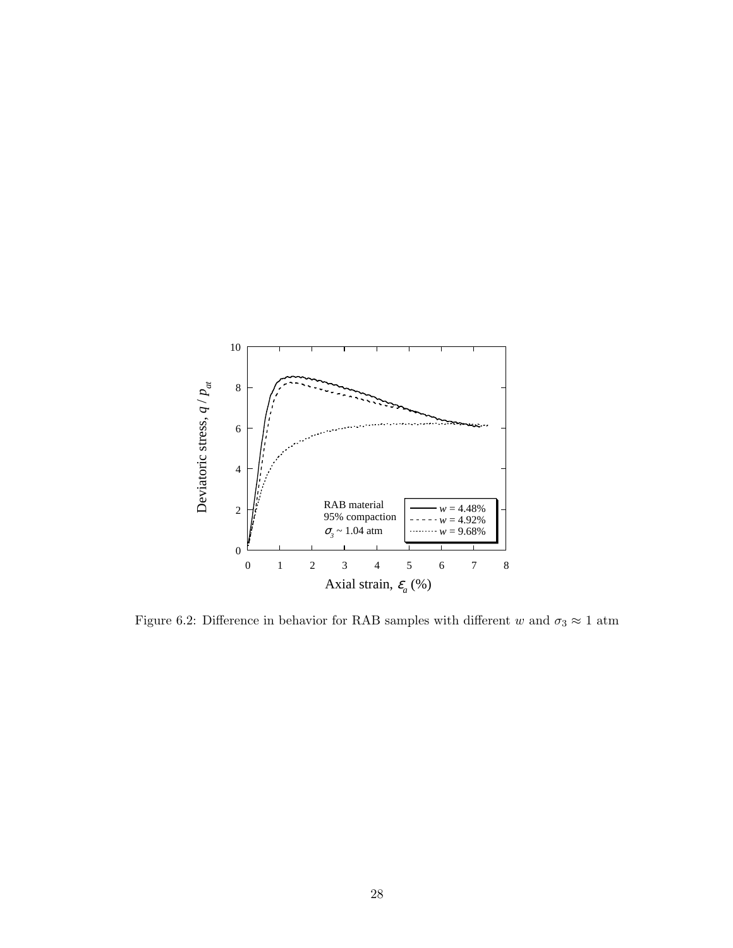

Figure 6.2: Difference in behavior for RAB samples with different w and  $\sigma_3 \approx 1$  atm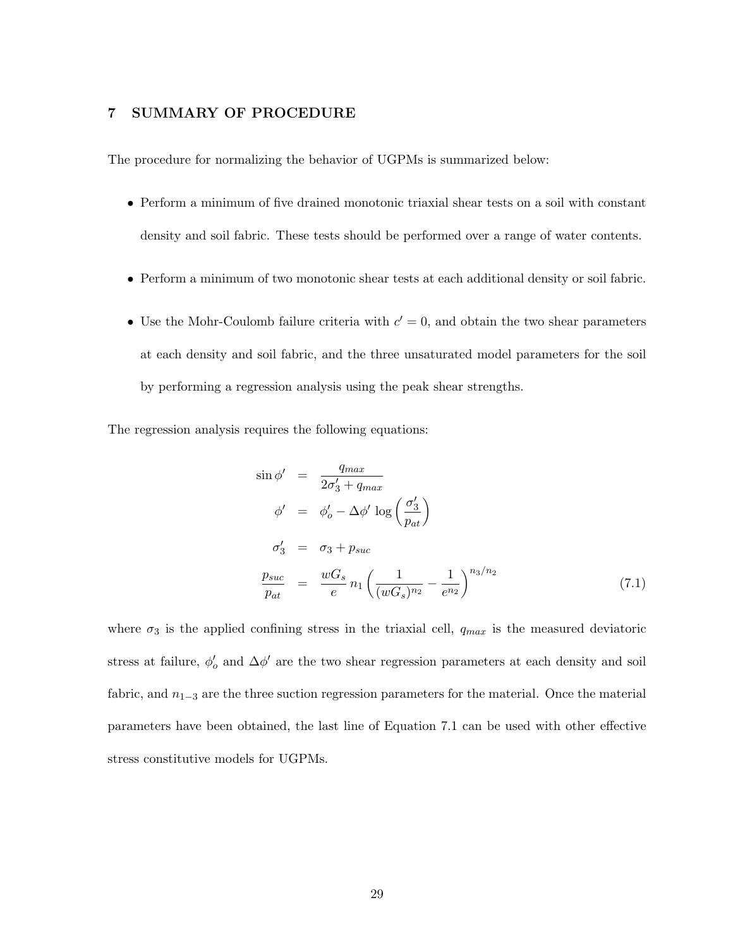# 7 SUMMARY OF PROCEDURE

The procedure for normalizing the behavior of UGPMs is summarized below:

- Perform a minimum of five drained monotonic triaxial shear tests on a soil with constant density and soil fabric. These tests should be performed over a range of water contents.
- Perform a minimum of two monotonic shear tests at each additional density or soil fabric.
- Use the Mohr-Coulomb failure criteria with  $c' = 0$ , and obtain the two shear parameters at each density and soil fabric, and the three unsaturated model parameters for the soil by performing a regression analysis using the peak shear strengths.

The regression analysis requires the following equations:

$$
\sin \phi' = \frac{q_{max}}{2\sigma'_3 + q_{max}}
$$
\n
$$
\phi' = \phi'_o - \Delta \phi' \log \left(\frac{\sigma'_3}{p_{at}}\right)
$$
\n
$$
\sigma'_3 = \sigma_3 + p_{suc}
$$
\n
$$
\frac{p_{suc}}{p_{at}} = \frac{wG_s}{e} n_1 \left(\frac{1}{(wG_s)^{n_2}} - \frac{1}{e^{n_2}}\right)^{n_3/n_2}
$$
\n(7.1)

where  $\sigma_3$  is the applied confining stress in the triaxial cell,  $q_{max}$  is the measured deviatoric stress at failure,  $\phi'_{o}$  and  $\Delta\phi'$  are the two shear regression parameters at each density and soil fabric, and  $n_{1-3}$  are the three suction regression parameters for the material. Once the material parameters have been obtained, the last line of Equation 7.1 can be used with other effective stress constitutive models for UGPMs.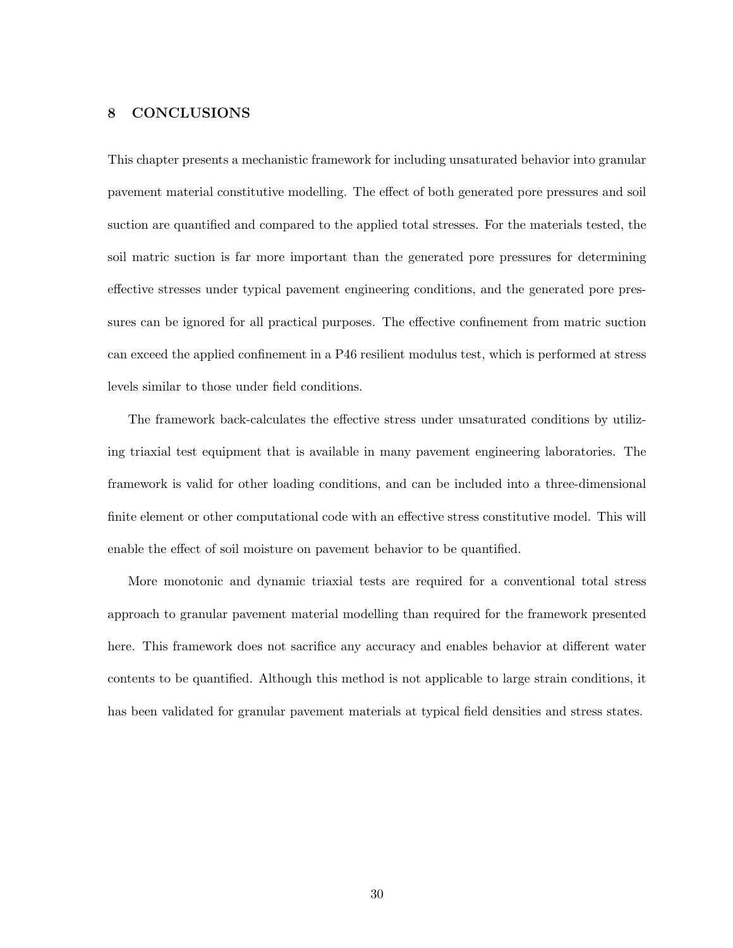# 8 CONCLUSIONS

This chapter presents a mechanistic framework for including unsaturated behavior into granular pavement material constitutive modelling. The effect of both generated pore pressures and soil suction are quantified and compared to the applied total stresses. For the materials tested, the soil matric suction is far more important than the generated pore pressures for determining effective stresses under typical pavement engineering conditions, and the generated pore pressures can be ignored for all practical purposes. The effective confinement from matric suction can exceed the applied confinement in a P46 resilient modulus test, which is performed at stress levels similar to those under field conditions.

The framework back-calculates the effective stress under unsaturated conditions by utilizing triaxial test equipment that is available in many pavement engineering laboratories. The framework is valid for other loading conditions, and can be included into a three-dimensional finite element or other computational code with an effective stress constitutive model. This will enable the effect of soil moisture on pavement behavior to be quantified.

More monotonic and dynamic triaxial tests are required for a conventional total stress approach to granular pavement material modelling than required for the framework presented here. This framework does not sacrifice any accuracy and enables behavior at different water contents to be quantified. Although this method is not applicable to large strain conditions, it has been validated for granular pavement materials at typical field densities and stress states.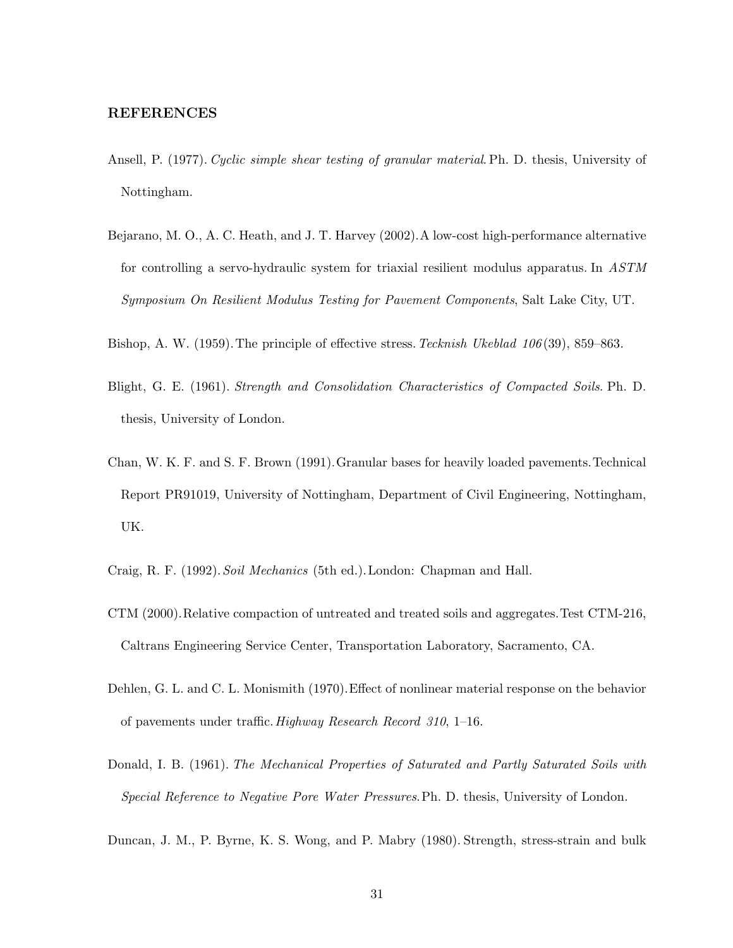# REFERENCES

- Ansell, P. (1977). Cyclic simple shear testing of granular material. Ph. D. thesis, University of Nottingham.
- Bejarano, M. O., A. C. Heath, and J. T. Harvey (2002).A low-cost high-performance alternative for controlling a servo-hydraulic system for triaxial resilient modulus apparatus. In ASTM Symposium On Resilient Modulus Testing for Pavement Components, Salt Lake City, UT.
- Bishop, A. W. (1959). The principle of effective stress. Tecknish Ukeblad 106(39), 859–863.
- Blight, G. E. (1961). Strength and Consolidation Characteristics of Compacted Soils. Ph. D. thesis, University of London.
- Chan, W. K. F. and S. F. Brown (1991).Granular bases for heavily loaded pavements.Technical Report PR91019, University of Nottingham, Department of Civil Engineering, Nottingham, UK.
- Craig, R. F. (1992). Soil Mechanics (5th ed.). London: Chapman and Hall.
- CTM (2000).Relative compaction of untreated and treated soils and aggregates.Test CTM-216, Caltrans Engineering Service Center, Transportation Laboratory, Sacramento, CA.
- Dehlen, G. L. and C. L. Monismith (1970).Effect of nonlinear material response on the behavior of pavements under traffic.Highway Research Record 310, 1–16.
- Donald, I. B. (1961). The Mechanical Properties of Saturated and Partly Saturated Soils with Special Reference to Negative Pore Water Pressures.Ph. D. thesis, University of London.
- Duncan, J. M., P. Byrne, K. S. Wong, and P. Mabry (1980). Strength, stress-strain and bulk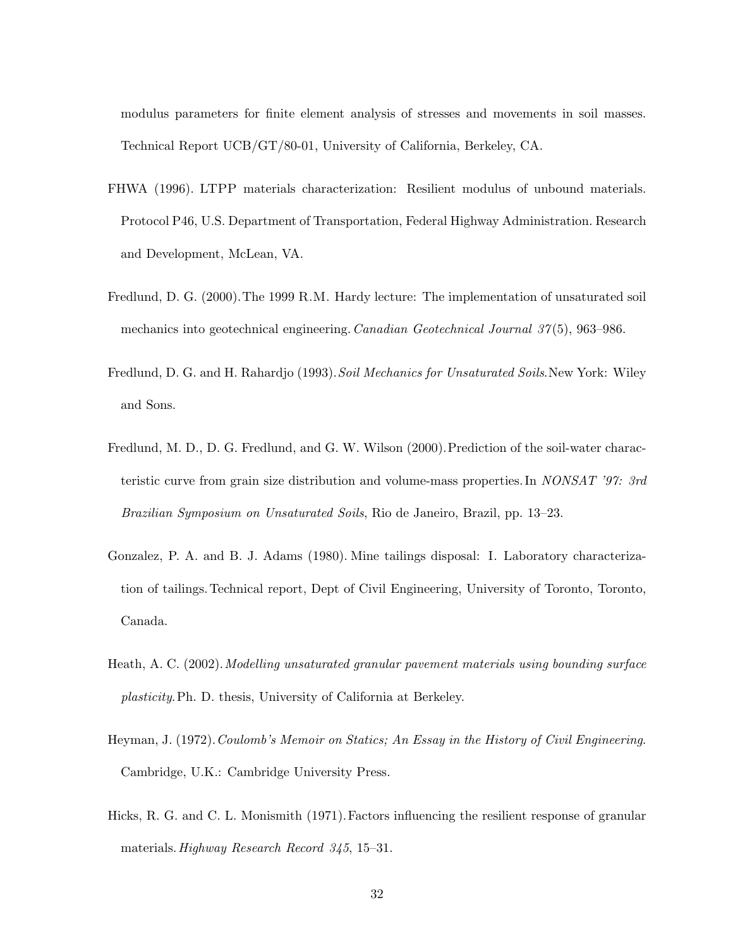modulus parameters for finite element analysis of stresses and movements in soil masses. Technical Report UCB/GT/80-01, University of California, Berkeley, CA.

- FHWA (1996). LTPP materials characterization: Resilient modulus of unbound materials. Protocol P46, U.S. Department of Transportation, Federal Highway Administration. Research and Development, McLean, VA.
- Fredlund, D. G. (2000).The 1999 R.M. Hardy lecture: The implementation of unsaturated soil mechanics into geotechnical engineering. Canadian Geotechnical Journal 37(5), 963–986.
- Fredlund, D. G. and H. Rahardjo (1993). Soil Mechanics for Unsaturated Soils. New York: Wiley and Sons.
- Fredlund, M. D., D. G. Fredlund, and G. W. Wilson (2000). Prediction of the soil-water characteristic curve from grain size distribution and volume-mass properties. In NONSAT '97: 3rd Brazilian Symposium on Unsaturated Soils, Rio de Janeiro, Brazil, pp. 13–23.
- Gonzalez, P. A. and B. J. Adams (1980). Mine tailings disposal: I. Laboratory characterization of tailings. Technical report, Dept of Civil Engineering, University of Toronto, Toronto, Canada.
- Heath, A. C. (2002).Modelling unsaturated granular pavement materials using bounding surface plasticity.Ph. D. thesis, University of California at Berkeley.
- Heyman, J. (1972). Coulomb's Memoir on Statics; An Essay in the History of Civil Engineering. Cambridge, U.K.: Cambridge University Press.
- Hicks, R. G. and C. L. Monismith (1971).Factors influencing the resilient response of granular materials.Highway Research Record 345, 15–31.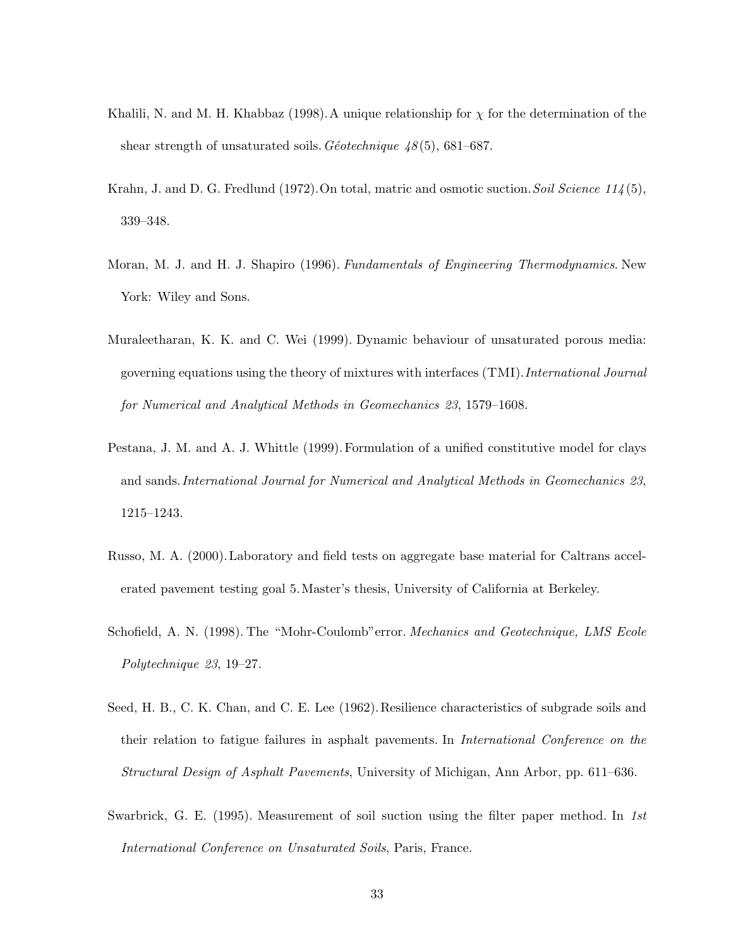- Khalili, N. and M. H. Khabbaz (1998). A unique relationship for  $\chi$  for the determination of the shear strength of unsaturated soils. Géotechnique  $48(5)$ , 681–687.
- Krahn, J. and D. G. Fredlund (1972). On total, matric and osmotic suction. Soil Science  $114(5)$ , 339–348.
- Moran, M. J. and H. J. Shapiro (1996). Fundamentals of Engineering Thermodynamics. New York: Wiley and Sons.
- Muraleetharan, K. K. and C. Wei (1999). Dynamic behaviour of unsaturated porous media: governing equations using the theory of mixtures with interfaces (TMI).International Journal for Numerical and Analytical Methods in Geomechanics 23, 1579–1608.
- Pestana, J. M. and A. J. Whittle (1999). Formulation of a unified constitutive model for clays and sands.International Journal for Numerical and Analytical Methods in Geomechanics 23, 1215–1243.
- Russo, M. A. (2000). Laboratory and field tests on aggregate base material for Caltrans accelerated pavement testing goal 5.Master's thesis, University of California at Berkeley.
- Schofield, A. N. (1998). The "Mohr-Coulomb" error. *Mechanics and Geotechnique, LMS Ecole* Polytechnique 23, 19–27.
- Seed, H. B., C. K. Chan, and C. E. Lee (1962). Resilience characteristics of subgrade soils and their relation to fatigue failures in asphalt pavements. In International Conference on the Structural Design of Asphalt Pavements, University of Michigan, Ann Arbor, pp. 611–636.
- Swarbrick, G. E. (1995). Measurement of soil suction using the filter paper method. In 1st International Conference on Unsaturated Soils, Paris, France.